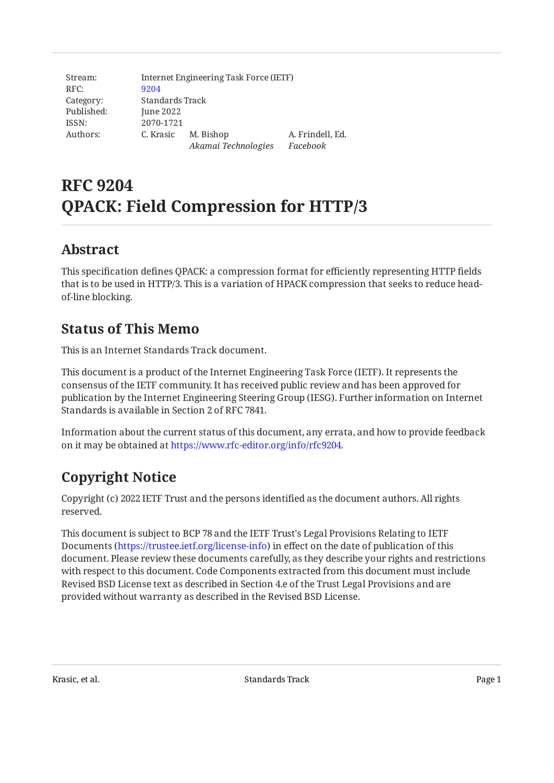Stream: RFC: Category: Published: ISSN: Authors: Internet Engineering Task Force (IETF) [9204](https://www.rfc-editor.org/rfc/rfc9204) Standards Track June 2022 2070-1721 C. Krasic M. Bishop *Akamai Technologies Facebook* A. Frindell, Ed.

# **RFC 9204 QPACK: Field Compression for HTTP/3**

## <span id="page-0-0"></span>**[Abstract](#page-0-0)**

This specification defines QPACK: a compression format for efficiently representing HTTP fields that is to be used in HTTP/3. This is a variation of HPACK compression that seeks to reduce headof-line blocking.

## <span id="page-0-1"></span>**[Status of This Memo](#page-0-1)**

This is an Internet Standards Track document.

This document is a product of the Internet Engineering Task Force (IETF). It represents the consensus of the IETF community. It has received public review and has been approved for publication by the Internet Engineering Steering Group (IESG). Further information on Internet Standards is available in Section 2 of RFC 7841.

Information about the current status of this document, any errata, and how to provide feedback on it may be obtained at [https://www.rfc-editor.org/info/rfc9204.](https://www.rfc-editor.org/info/rfc9204)

# <span id="page-0-2"></span>**[Copyright Notice](#page-0-2)**

Copyright (c) 2022 IETF Trust and the persons identified as the document authors. All rights reserved.

This document is subject to BCP 78 and the IETF Trust's Legal Provisions Relating to IETF Documents (<https://trustee.ietf.org/license-info>) in effect on the date of publication of this document. Please review these documents carefully, as they describe your rights and restrictions with respect to this document. Code Components extracted from this document must include Revised BSD License text as described in Section 4.e of the Trust Legal Provisions and are provided without warranty as described in the Revised BSD License.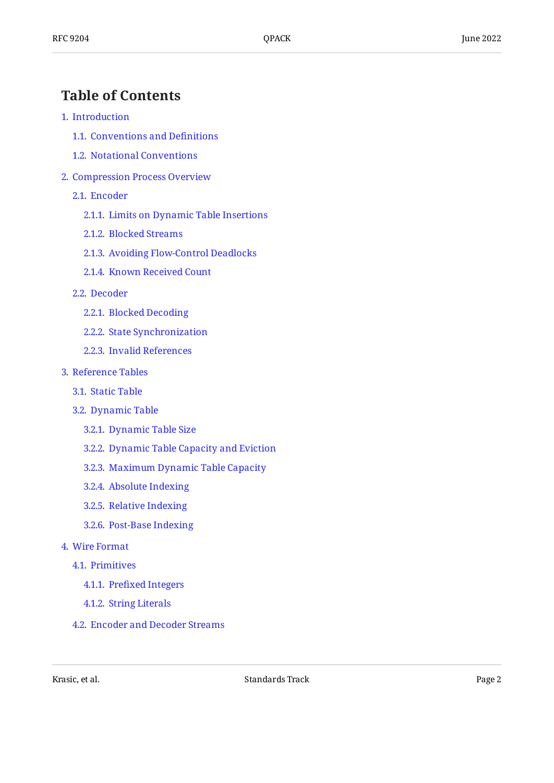## <span id="page-1-0"></span>**[Table of Contents](#page-1-0)**

#### [1](#page-3-0). [Introduction](#page-3-0)

- [1.1.](#page-3-1) [Conventions and De](#page-3-1)finitions
- [1.2.](#page-4-0) [Notational Conventions](#page-4-0)
- [2](#page-5-0). [Compression Process Overview](#page-5-0)
	- [2.1.](#page-5-1) [Encoder](#page-5-1)
		- [2.1.1](#page-5-2). [Limits on Dynamic Table Insertions](#page-5-2)
		- [2.1.2](#page-6-0). [Blocked Streams](#page-6-0)
		- [2.1.3](#page-7-0). [Avoiding Flow-Control Deadlocks](#page-7-0)
		- [2.1.4](#page-7-1). [Known Received Count](#page-7-1)
	- [2.2.](#page-7-2) [Decoder](#page-7-2)
		- [2.2.1](#page-8-0). [Blocked Decoding](#page-8-0)
		- [2.2.2](#page-8-1). [State Synchronization](#page-8-1)
		- [2.2.3](#page-9-0). [Invalid References](#page-9-0)
- [3](#page-9-1). [Reference Tables](#page-9-1)
	- [3.1.](#page-9-2) [Static Table](#page-9-2)
	- [3.2.](#page-10-0) [Dynamic Table](#page-10-0)
		- [3.2.1](#page-10-1). [Dynamic Table Size](#page-10-1)
		- [3.2.2](#page-10-2). [Dynamic Table Capacity and Eviction](#page-10-2)
		- [3.2.3](#page-11-0). [Maximum Dynamic Table Capacity](#page-11-0)
		- [3.2.4](#page-11-1). [Absolute Indexing](#page-11-1)
		- [3.2.5](#page-11-2). [Relative Indexing](#page-11-2)
		- [3.2.6](#page-12-0). [Post-Base Indexing](#page-12-0)
- [4](#page-13-0). [Wire Format](#page-13-0)
	- [4.1.](#page-13-1) [Primitives](#page-13-1)
		- [4.1.1](#page-13-2). Prefi[xed Integers](#page-13-2)
		- [4.1.2](#page-13-3). [String Literals](#page-13-3)
	- [4.2.](#page-14-0) [Encoder and Decoder Streams](#page-14-0)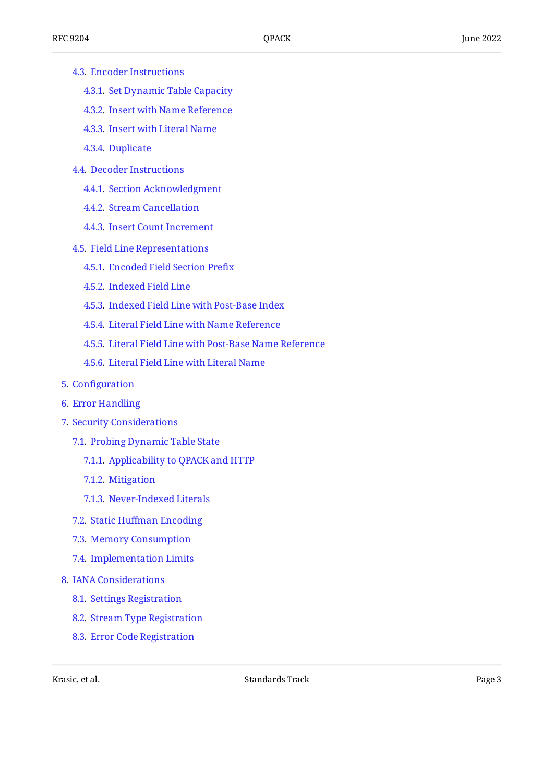- [4.3.](#page-14-1) [Encoder Instructions](#page-14-1)
	- [4.3.1](#page-14-2). [Set Dynamic Table Capacity](#page-14-2)
	- [4.3.2](#page-15-0). [Insert with Name Reference](#page-15-0)
	- [4.3.3](#page-15-1). [Insert with Literal Name](#page-15-1)
	- [4.3.4](#page-16-0). [Duplicate](#page-16-0)
- [4.4.](#page-16-1) [Decoder Instructions](#page-16-1)
	- [4.4.1](#page-16-2). [Section Acknowledgment](#page-16-2)
	- [4.4.2](#page-17-0). [Stream Cancellation](#page-17-0)
	- [4.4.3](#page-17-1). [Insert Count Increment](#page-17-1)
- [4.5.](#page-18-0) [Field Line Representations](#page-18-0)
	- [4.5.1](#page-18-1). [Encoded Field Section Pre](#page-18-1)fix
	- [4.5.2](#page-20-0). [Indexed Field Line](#page-20-0)
	- [4.5.3](#page-21-0). [Indexed Field Line with Post-Base Index](#page-21-0)
	- [4.5.4](#page-21-1). [Literal Field Line with Name Reference](#page-21-1)
	- [4.5.5](#page-22-0). [Literal Field Line with Post-Base Name Reference](#page-22-0)
	- [4.5.6](#page-22-1). [Literal Field Line with Literal Name](#page-22-1)
- [5](#page-23-0). Confi[guration](#page-23-0)
- [6](#page-23-1). [Error Handling](#page-23-1)
- [7](#page-23-2). [Security Considerations](#page-23-2)
	- [7.1.](#page-23-3) [Probing Dynamic Table State](#page-23-3)
		- [7.1.1](#page-24-0). [Applicability to QPACK and HTTP](#page-24-0)
		- [7.1.2](#page-24-1). [Mitigation](#page-24-1)
		- [7.1.3](#page-25-0). [Never-Indexed Literals](#page-25-0)
	- [7.2.](#page-26-0) Static Huff[man Encoding](#page-26-0)
	- [7.3.](#page-26-1) [Memory Consumption](#page-26-1)
	- [7.4.](#page-27-0) [Implementation Limits](#page-27-0)
- [8](#page-27-1). [IANA Considerations](#page-27-1)
	- [8.1.](#page-27-2) [Settings Registration](#page-27-2)
	- [8.2.](#page-28-0) [Stream Type Registration](#page-28-0)
	- [8.3.](#page-28-1) [Error Code Registration](#page-28-1)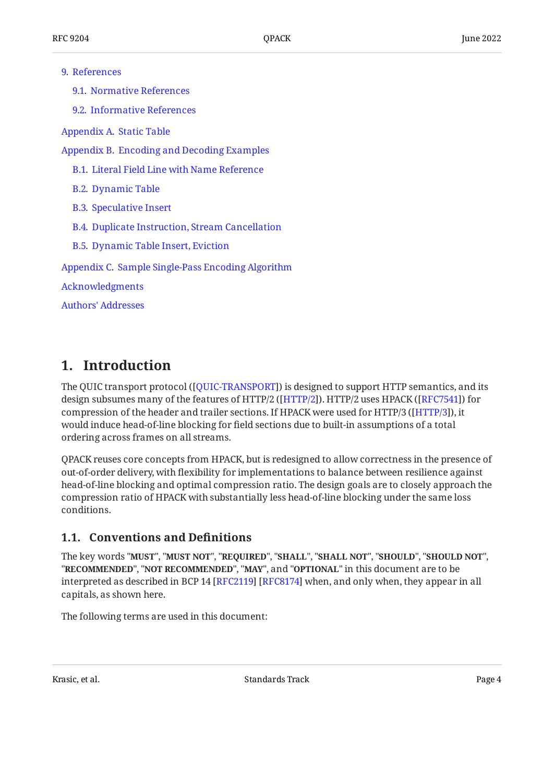#### [9](#page-28-2). [References](#page-28-2)

[9.1.](#page-28-3) [Normative References](#page-28-3)

[9.2.](#page-29-0) [Informative References](#page-29-0)

[Appendix A.](#page-29-1) [Static Table](#page-29-1)

[Appendix B.](#page-34-0) [Encoding and Decoding Examples](#page-34-0)

- [B.1](#page-34-1). [Literal Field Line with Name Reference](#page-34-1)
- [B.2](#page-35-0). [Dynamic Table](#page-35-0)
- [B.3](#page-35-1). [Speculative Insert](#page-35-1)
- [B.4](#page-36-0). [Duplicate Instruction, Stream Cancellation](#page-36-0)
- [B.5](#page-37-0). [Dynamic Table Insert, Eviction](#page-37-0)

[Appendix C.](#page-38-0) [Sample Single-Pass Encoding Algorithm](#page-38-0)

[Acknowledgments](#page-39-0)

[Authors' Addresses](#page-40-0)

## <span id="page-3-0"></span>**[1. Introduction](#page-3-0)**

The QUIC transport protocol ([QUIC-TRANSPORT]) is designed to support HTTP semantics, and its design subsumes many of the features of HTTP/2 ([HTTP/2]). HTTP/2 uses HPACK ([RFC7541]) for compression of the header and trailer sections. If HPACK were used for HTTP/3 ([\[HTTP/3](#page-29-5)]), it would induce head-of-line blocking for field sections due to built-in assumptions of a total ordering across frames on all streams.

QPACK reuses core concepts from HPACK, but is redesigned to allow correctness in the presence of out-of-order delivery, with flexibility for implementations to balance between resilience against head-of-line blocking and optimal compression ratio. The design goals are to closely approach the compression ratio of HPACK with substantially less head-of-line blocking under the same loss conditions.

#### <span id="page-3-1"></span>**[1.1. Conventions and De](#page-3-1)finitions**

The key words "MUST", "MUST NOT", "REQUIRED", "SHALL", "SHALL NOT", "SHOULD", "SHOULD NOT", "**RECOMMENDED", "NOT RECOMMENDED", "MAY",** and "OPTIONAL" in this document are to be interpreted as described in BCP 14 [RFC2119] [RFC8174] when, and only when, they appear in all capitals, as shown here.

The following terms are used in this document: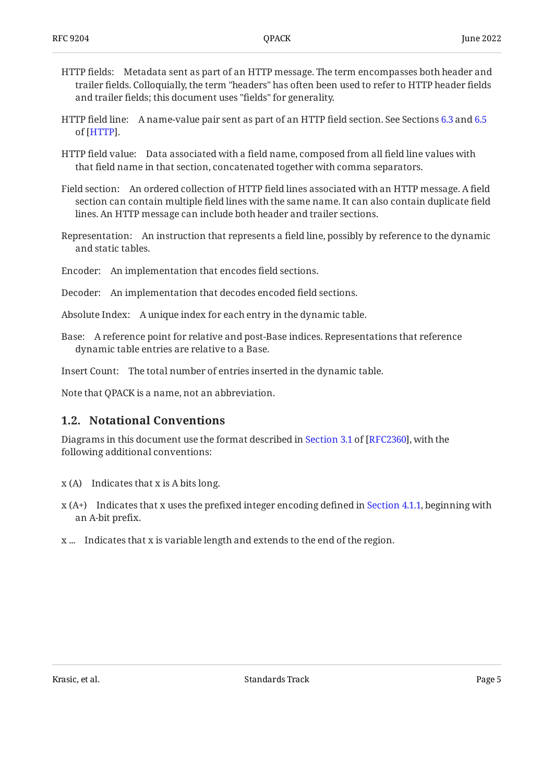- HTTP fields: Metadata sent as part of an HTTP message. The term encompasses both header and trailer fields. Colloquially, the term "headers" has often been used to refer to HTTP header fields and trailer fields; this document uses "fields" for generality.
- HTTP field line: A name-value pair sent as part of an HTTP field section. See Sections [6.3](https://www.rfc-editor.org/rfc/rfc9110#section-6.3) and [6.5](https://www.rfc-editor.org/rfc/rfc9110#section-6.5) of [HTTP].
- HTTP field value: Data associated with a field name, composed from all field line values with that field name in that section, concatenated together with comma separators.
- Field section: An ordered collection of HTTP field lines associated with an HTTP message. A field section can contain multiple field lines with the same name. It can also contain duplicate field lines. An HTTP message can include both header and trailer sections.
- Representation: An instruction that represents a field line, possibly by reference to the dynamic and static tables.
- Encoder: An implementation that encodes field sections.
- Decoder: An implementation that decodes encoded field sections.
- Absolute Index: A unique index for each entry in the dynamic table.
- Base: A reference point for relative and post-Base indices. Representations that reference dynamic table entries are relative to a Base.

Insert Count: The total number of entries inserted in the dynamic table.

<span id="page-4-0"></span>Note that QPACK is a name, not an abbreviation.

#### **[1.2. Notational Conventions](#page-4-0)**

Diagramsin this document use the format described in Section 3.1 of [RFC2360], with the following additional conventions:

- x (A) Indicates that x is A bits long.
- x (A+) Indicates that x uses the prefixed integer encoding defined in [Section 4.1.1,](#page-13-2) beginning with an A-bit prefix.
- x ... Indicates that x is variable length and extends to the end of the region.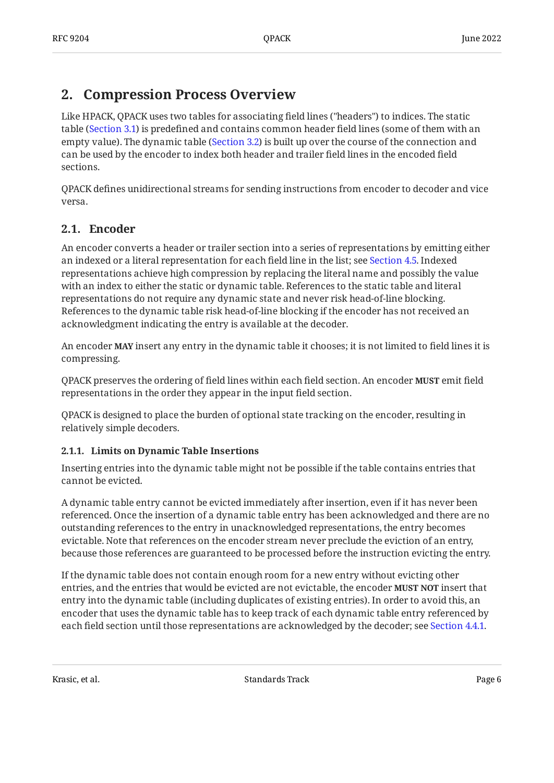## <span id="page-5-0"></span>**[2. Compression Process Overview](#page-5-0)**

Like HPACK, QPACK uses two tables for associating field lines ("headers") to indices. The static table ([Section 3.1](#page-9-2)) is predefined and contains common header field lines (some of them with an empty value). The dynamic table ([Section 3.2](#page-10-0)) is built up over the course of the connection and can be used by the encoder to index both header and trailer field lines in the encoded field sections.

QPACK defines unidirectional streams for sending instructions from encoder to decoder and vice versa.

### <span id="page-5-1"></span>**[2.1. Encoder](#page-5-1)**

An encoder converts a header or trailer section into a series of representations by emitting either an indexed or a literal representation for each field line in the list; see [Section 4.5](#page-18-0). Indexed representations achieve high compression by replacing the literal name and possibly the value with an index to either the static or dynamic table. References to the static table and literal representations do not require any dynamic state and never risk head-of-line blocking. References to the dynamic table risk head-of-line blocking if the encoder has not received an acknowledgment indicating the entry is available at the decoder.

An encoder **MAY** insert any entry in the dynamic table it chooses; it is not limited to field lines it is compressing.

QPACK preserves the ordering of field lines within each field section. An encoder **MUST** emit field representations in the order they appear in the input field section.

QPACK is designed to place the burden of optional state tracking on the encoder, resulting in relatively simple decoders.

#### <span id="page-5-2"></span>**[2.1.1. Limits on Dynamic Table Insertions](#page-5-2)**

Inserting entries into the dynamic table might not be possible if the table contains entries that cannot be evicted.

A dynamic table entry cannot be evicted immediately after insertion, even if it has never been referenced. Once the insertion of a dynamic table entry has been acknowledged and there are no outstanding references to the entry in unacknowledged representations, the entry becomes evictable. Note that references on the encoder stream never preclude the eviction of an entry, because those references are guaranteed to be processed before the instruction evicting the entry.

If the dynamic table does not contain enough room for a new entry without evicting other entries, and the entries that would be evicted are not evictable, the encoder **MUST NOT** insert that entry into the dynamic table (including duplicates of existing entries). In order to avoid this, an encoder that uses the dynamic table has to keep track of each dynamic table entry referenced by each field section until those representations are acknowledged by the decoder; see [Section 4.4.1.](#page-16-2)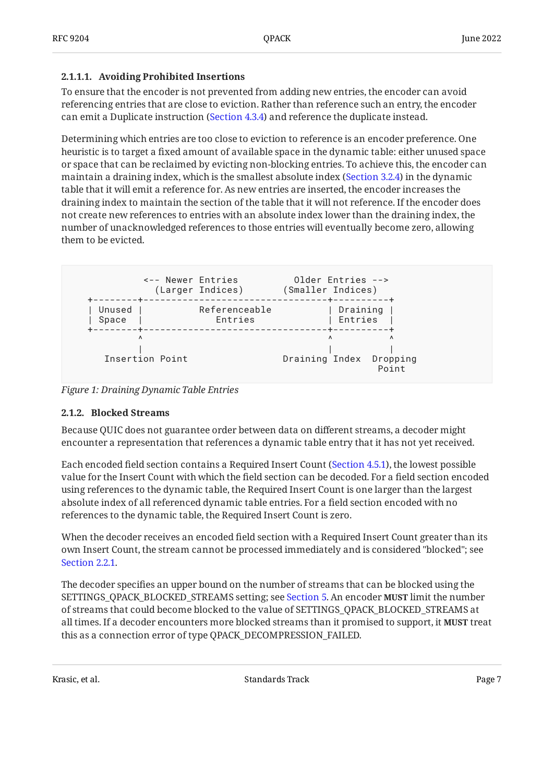#### <span id="page-6-1"></span>**[2.1.1.1. Avoiding Prohibited Insertions](#page-6-1)**

To ensure that the encoder is not prevented from adding new entries, the encoder can avoid referencing entries that are close to eviction. Rather than reference such an entry, the encoder can emit a Duplicate instruction ([Section 4.3.4\)](#page-16-0) and reference the duplicate instead.

Determining which entries are too close to eviction to reference is an encoder preference. One heuristic is to target a fixed amount of available space in the dynamic table: either unused space or space that can be reclaimed by evicting non-blocking entries. To achieve this, the encoder can maintain a draining index, which is the smallest absolute index ([Section 3.2.4\)](#page-11-1) in the dynamic table that it will emit a reference for. As new entries are inserted, the encoder increases the draining index to maintain the section of the table that it will not reference. If the encoder does not create new references to entries with an absolute index lower than the draining index, the number of unacknowledged references to those entries will eventually become zero, allowing them to be evicted.

<span id="page-6-2"></span>

<span id="page-6-0"></span>*[Figure 1: Draining Dynamic Table Entries](#page-6-2)* 

#### **[2.1.2. Blocked Streams](#page-6-0)**

Because QUIC does not guarantee order between data on different streams, a decoder might encounter a representation that references a dynamic table entry that it has not yet received.

Each encoded field section contains a Required Insert Count ([Section 4.5.1\)](#page-18-1), the lowest possible value for the Insert Count with which the field section can be decoded. For a field section encoded using references to the dynamic table, the Required Insert Count is one larger than the largest absolute index of all referenced dynamic table entries. For a field section encoded with no references to the dynamic table, the Required Insert Count is zero.

When the decoder receives an encoded field section with a Required Insert Count greater than its own Insert Count, the stream cannot be processed immediately and is considered "blocked"; see [Section 2.2.1.](#page-8-0)

The decoder specifies an upper bound on the number of streams that can be blocked using the <code>SETTINGS\_QPACK\_BLOCKED\_STREAMS</code> setting; see [Section 5.](#page-23-0) An encoder <code>MUST</code> limit the number of streams that could become blocked to the value of SETTINGS\_QPACK\_BLOCKED\_STREAMS at all times. If a decoder encounters more blocked streams than it promised to support, it **MUST** treat this as a connection error of type QPACK\_DECOMPRESSION\_FAILED.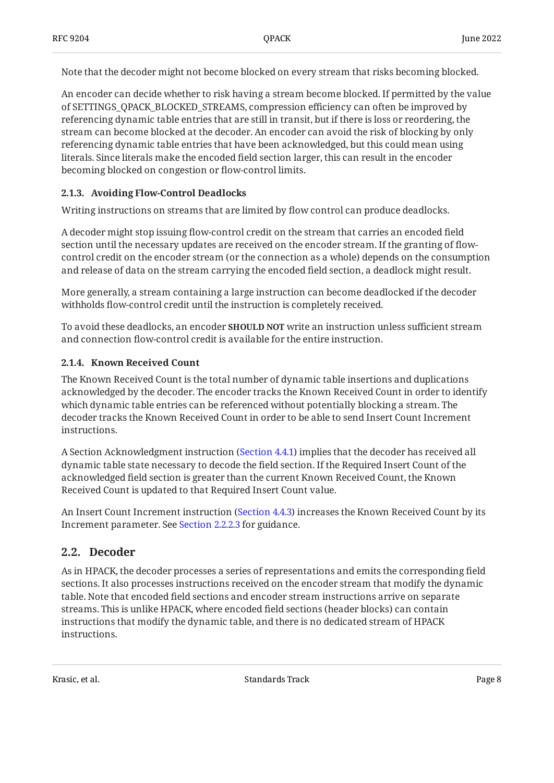Note that the decoder might not become blocked on every stream that risks becoming blocked.

An encoder can decide whether to risk having a stream become blocked. If permitted by the value of SETTINGS\_QPACK\_BLOCKED\_STREAMS, compression efficiency can often be improved by referencing dynamic table entries that are still in transit, but if there is loss or reordering, the stream can become blocked at the decoder. An encoder can avoid the risk of blocking by only referencing dynamic table entries that have been acknowledged, but this could mean using literals. Since literals make the encoded field section larger, this can result in the encoder becoming blocked on congestion or flow-control limits.

#### <span id="page-7-0"></span>**[2.1.3. Avoiding Flow-Control Deadlocks](#page-7-0)**

Writing instructions on streams that are limited by flow control can produce deadlocks.

A decoder might stop issuing flow-control credit on the stream that carries an encoded field section until the necessary updates are received on the encoder stream. If the granting of flowcontrol credit on the encoder stream (or the connection as a whole) depends on the consumption and release of data on the stream carrying the encoded field section, a deadlock might result.

More generally, a stream containing a large instruction can become deadlocked if the decoder withholds flow-control credit until the instruction is completely received.

To avoid these deadlocks, an encoder **SHOULD NOT** write an instruction unless sufficient stream and connection flow-control credit is available for the entire instruction.

#### <span id="page-7-1"></span>**[2.1.4. Known Received Count](#page-7-1)**

The Known Received Count is the total number of dynamic table insertions and duplications acknowledged by the decoder. The encoder tracks the Known Received Count in order to identify which dynamic table entries can be referenced without potentially blocking a stream. The decoder tracks the Known Received Count in order to be able to send Insert Count Increment instructions.

A Section Acknowledgment instruction ([Section 4.4.1\)](#page-16-2) implies that the decoder has received all dynamic table state necessary to decode the field section. If the Required Insert Count of the acknowledged field section is greater than the current Known Received Count, the Known Received Count is updated to that Required Insert Count value.

An Insert Count Increment instruction ([Section 4.4.3\)](#page-17-1) increases the Known Received Count by its Increment parameter. See [Section 2.2.2.3](#page-9-3) for guidance.

### <span id="page-7-2"></span>**[2.2. Decoder](#page-7-2)**

As in HPACK, the decoder processes a series of representations and emits the corresponding field sections. It also processes instructions received on the encoder stream that modify the dynamic table. Note that encoded field sections and encoder stream instructions arrive on separate streams. This is unlike HPACK, where encoded field sections (header blocks) can contain instructions that modify the dynamic table, and there is no dedicated stream of HPACK instructions.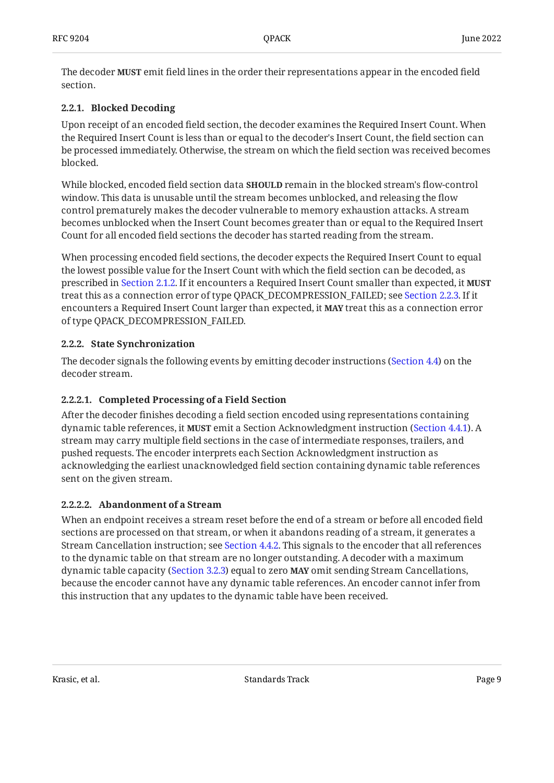The decoder **MUST** emit field lines in the order their representations appear in the encoded field section.

#### <span id="page-8-0"></span>**[2.2.1. Blocked Decoding](#page-8-0)**

Upon receipt of an encoded field section, the decoder examines the Required Insert Count. When the Required Insert Count is less than or equal to the decoder's Insert Count, the field section can be processed immediately. Otherwise, the stream on which the field section was received becomes blocked.

While blocked, encoded field section data **SHOULD** remain in the blocked stream's flow-control window. This data is unusable until the stream becomes unblocked, and releasing the flow control prematurely makes the decoder vulnerable to memory exhaustion attacks. A stream becomes unblocked when the Insert Count becomes greater than or equal to the Required Insert Count for all encoded field sections the decoder has started reading from the stream.

When processing encoded field sections, the decoder expects the Required Insert Count to equal the lowest possible value for the Insert Count with which the field section can be decoded, as prescribed in [Section 2.1.2](#page-6-0). If it encounters a Required Insert Count smaller than expected, it **MUST** treat this as a connection error of type QPACK\_DECOMPRESSION\_FAILED; see [Section 2.2.3.](#page-9-0) If it encounters a Required Insert Count larger than expected, it MAY treat this as a connection error of type QPACK\_DECOMPRESSION\_FAILED.

#### <span id="page-8-1"></span>**[2.2.2. State Synchronization](#page-8-1)**

The decoder signals the following events by emitting decoder instructions ([Section 4.4\)](#page-16-1) on the decoder stream.

#### <span id="page-8-2"></span>**[2.2.2.1. Completed Processing of a Field Section](#page-8-2)**

After the decoder finishes decoding a field section encoded using representations containing dynamic table references, it **MUST** emit a Section Acknowledgment instruction ([Section 4.4.1\)](#page-16-2). A stream may carry multiple field sections in the case of intermediate responses, trailers, and pushed requests. The encoder interprets each Section Acknowledgment instruction as acknowledging the earliest unacknowledged field section containing dynamic table references sent on the given stream.

#### <span id="page-8-3"></span>**[2.2.2.2. Abandonment of a Stream](#page-8-3)**

When an endpoint receives a stream reset before the end of a stream or before all encoded field sections are processed on that stream, or when it abandons reading of a stream, it generates a Stream Cancellation instruction; see [Section 4.4.2](#page-17-0). This signals to the encoder that all references to the dynamic table on that stream are no longer outstanding. A decoder with a maximum dynamic table capacity [\(Section 3.2.3](#page-11-0)) equal to zero **MAY** omit sending Stream Cancellations, because the encoder cannot have any dynamic table references. An encoder cannot infer from this instruction that any updates to the dynamic table have been received.

Krasic, et al. No. 2013 - Standards Track Page 9 - Standards Track Page 9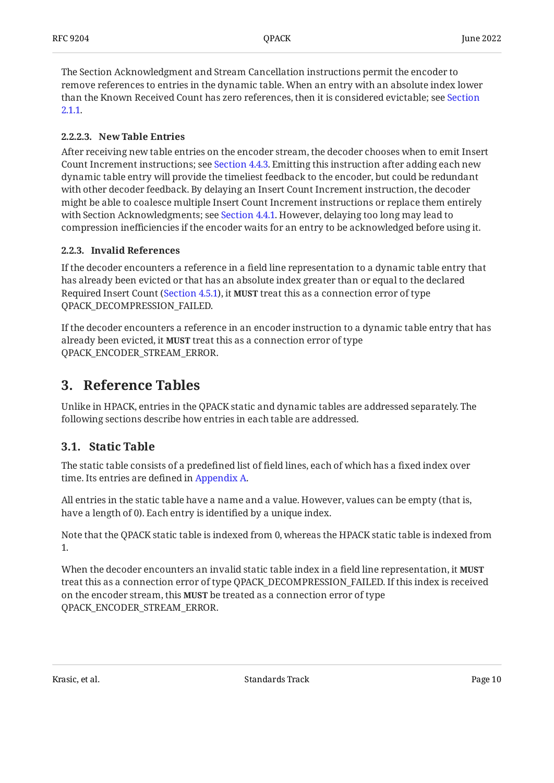The Section Acknowledgment and Stream Cancellation instructions permit the encoder to remove references to entries in the dynamic table. When an entry with an absolute index lower than the Known Received Count has zero references, then it is considered evictable; see [Section](#page-5-2) [2.1.1](#page-5-2).

#### <span id="page-9-3"></span>**[2.2.2.3. New Table Entries](#page-9-3)**

After receiving new table entries on the encoder stream, the decoder chooses when to emit Insert Count Increment instructions; see [Section 4.4.3.](#page-17-1) Emitting this instruction after adding each new dynamic table entry will provide the timeliest feedback to the encoder, but could be redundant with other decoder feedback. By delaying an Insert Count Increment instruction, the decoder might be able to coalesce multiple Insert Count Increment instructions or replace them entirely with Section Acknowledgments; see [Section 4.4.1.](#page-16-2) However, delaying too long may lead to compression inefficiencies if the encoder waits for an entry to be acknowledged before using it.

#### <span id="page-9-0"></span>**[2.2.3. Invalid References](#page-9-0)**

If the decoder encounters a reference in a field line representation to a dynamic table entry that has already been evicted or that has an absolute index greater than or equal to the declared Required Insert Count ([Section 4.5.1\)](#page-18-1), it **MUST** treat this as a connection error of type QPACK\_DECOMPRESSION\_FAILED.

If the decoder encounters a reference in an encoder instruction to a dynamic table entry that has already been evicted, it MUST treat this as a connection error of type QPACK\_ENCODER\_STREAM\_ERROR.

## <span id="page-9-1"></span>**[3. Reference Tables](#page-9-1)**

Unlike in HPACK, entries in the QPACK static and dynamic tables are addressed separately. The following sections describe how entries in each table are addressed.

### <span id="page-9-2"></span>**[3.1. Static Table](#page-9-2)**

The static table consists of a predefined list of field lines, each of which has a fixed index over time. Its entries are defined in [Appendix A.](#page-29-1)

All entries in the static table have a name and a value. However, values can be empty (that is, have a length of 0). Each entry is identified by a unique index.

Note that the QPACK static table is indexed from 0, whereas the HPACK static table is indexed from 1.

When the decoder encounters an invalid static table index in a field line representation, it **MUST** treat this as a connection error of type QPACK\_DECOMPRESSION\_FAILED. If this index is received on the encoder stream, this **MUST** be treated as a connection error of type QPACK\_ENCODER\_STREAM\_ERROR.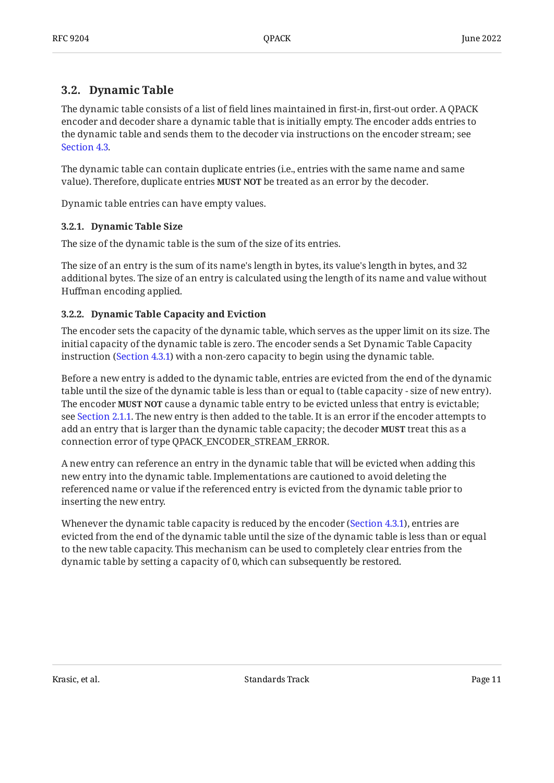### <span id="page-10-0"></span>**[3.2. Dynamic Table](#page-10-0)**

The dynamic table consists of a list of field lines maintained in first-in, first-out order. A QPACK encoder and decoder share a dynamic table that is initially empty. The encoder adds entries to the dynamic table and sends them to the decoder via instructions on the encoder stream; see [Section 4.3](#page-14-1).

The dynamic table can contain duplicate entries (i.e., entries with the same name and same value). Therefore, duplicate entries **MUST NOT** be treated as an error by the decoder.

<span id="page-10-1"></span>Dynamic table entries can have empty values.

#### **[3.2.1. Dynamic Table Size](#page-10-1)**

The size of the dynamic table is the sum of the size of its entries.

The size of an entry is the sum of its name's length in bytes, its value's length in bytes, and 32 additional bytes. The size of an entry is calculated using the length of its name and value without Huffman encoding applied.

#### <span id="page-10-2"></span>**[3.2.2. Dynamic Table Capacity and Eviction](#page-10-2)**

The encoder sets the capacity of the dynamic table, which serves as the upper limit on its size. The initial capacity of the dynamic table is zero. The encoder sends a Set Dynamic Table Capacity instruction ([Section 4.3.1\)](#page-14-2) with a non-zero capacity to begin using the dynamic table.

Before a new entry is added to the dynamic table, entries are evicted from the end of the dynamic table until the size of the dynamic table is less than or equal to (table capacity - size of new entry). The encoder **MUST NOT** cause a dynamic table entry to be evicted unless that entry is evictable; see [Section 2.1.1.](#page-5-2) The new entry is then added to the table. It is an error if the encoder attempts to add an entry that is larger than the dynamic table capacity; the decoder **MUST** treat this as a connection error of type QPACK\_ENCODER\_STREAM\_ERROR.

A new entry can reference an entry in the dynamic table that will be evicted when adding this new entry into the dynamic table. Implementations are cautioned to avoid deleting the referenced name or value if the referenced entry is evicted from the dynamic table prior to inserting the new entry.

Whenever the dynamic table capacity is reduced by the encoder [\(Section 4.3.1](#page-14-2)), entries are evicted from the end of the dynamic table until the size of the dynamic table is less than or equal to the new table capacity. This mechanism can be used to completely clear entries from the dynamic table by setting a capacity of 0, which can subsequently be restored.

Krasic, et al. Standards Track Page 11 Standards Track Page 11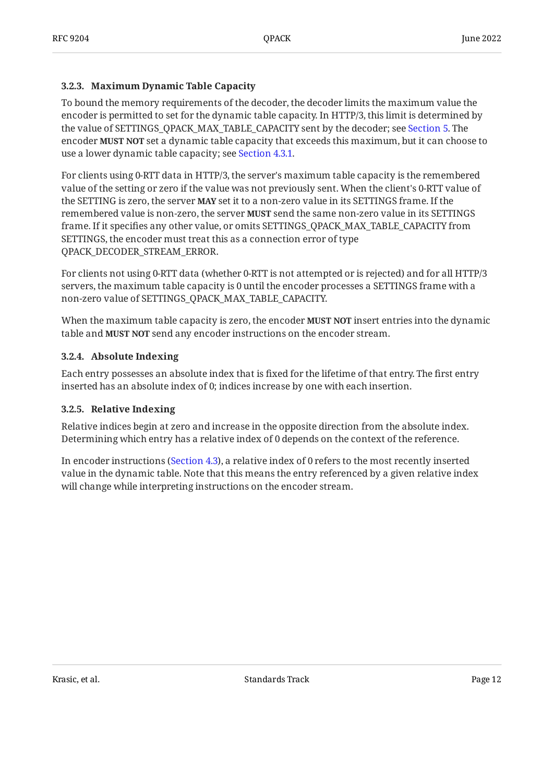#### <span id="page-11-0"></span>**[3.2.3. Maximum Dynamic Table Capacity](#page-11-0)**

To bound the memory requirements of the decoder, the decoder limits the maximum value the encoder is permitted to set for the dynamic table capacity. In HTTP/3, this limit is determined by the value of SETTINGS\_QPACK\_MAX\_TABLE\_CAPACITY sent by the decoder; see [Section 5.](#page-23-0) The encoder **MUST NOT** set a dynamic table capacity that exceeds this maximum, but it can choose to use a lower dynamic table capacity; see [Section 4.3.1](#page-14-2).

For clients using 0-RTT data in HTTP/3, the server's maximum table capacity is the remembered value of the setting or zero if the value was not previously sent. When the client's 0-RTT value of the SETTING is zero, the server **MAY** set it to a non-zero value in its SETTINGS frame. If the remembered value is non-zero, the server **MUST** send the same non-zero value in its SETTINGS frame. If it specifies any other value, or omits SETTINGS\_QPACK\_MAX\_TABLE\_CAPACITY from SETTINGS, the encoder must treat this as a connection error of type QPACK\_DECODER\_STREAM\_ERROR.

For clients not using 0-RTT data (whether 0-RTT is not attempted or is rejected) and for all HTTP/3 servers, the maximum table capacity is 0 until the encoder processes a SETTINGS frame with a non-zero value of SETTINGS\_QPACK\_MAX\_TABLE\_CAPACITY.

When the maximum table capacity is zero, the encoder **MUST NOT** insert entries into the dynamic table and MUST NOT send any encoder instructions on the encoder stream.

#### <span id="page-11-1"></span>**[3.2.4. Absolute Indexing](#page-11-1)**

Each entry possesses an absolute index that is fixed for the lifetime of that entry. The first entry inserted has an absolute index of 0; indices increase by one with each insertion.

#### <span id="page-11-2"></span>**[3.2.5. Relative Indexing](#page-11-2)**

Relative indices begin at zero and increase in the opposite direction from the absolute index. Determining which entry has a relative index of 0 depends on the context of the reference.

<span id="page-11-3"></span>In encoder instructions ([Section 4.3\)](#page-14-1), a relative index of 0 refers to the most recently inserted value in the dynamic table. Note that this means the entry referenced by a given relative index will change while interpreting instructions on the encoder stream.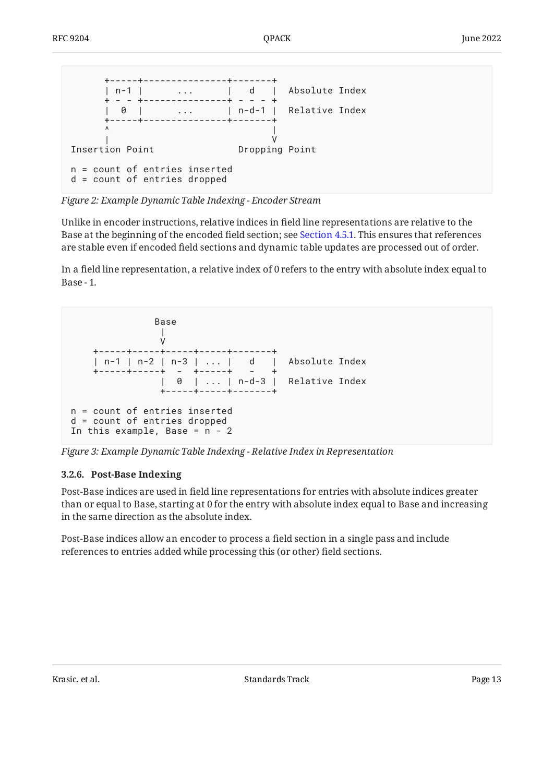<span id="page-12-1"></span>

*[Figure 2:](#page-12-1) [Example Dynamic Table Indexing - Encoder Stream](#page-11-3)* 

Unlike in encoder instructions, relative indices in field line representations are relative to the Base at the beginning of the encoded field section; see [Section 4.5.1](#page-18-1). This ensures that references are stable even if encoded field sections and dynamic table updates are processed out of order.

In a field line representation, a relative index of 0 refers to the entry with absolute index equal to Base - 1.

<span id="page-12-2"></span>

<span id="page-12-0"></span>*[Figure 3: Example Dynamic Table Indexing - Relative Index in Representation](#page-12-2)* 

#### **[3.2.6. Post-Base Indexing](#page-12-0)**

Post-Base indices are used in field line representations for entries with absolute indices greater than or equal to Base, starting at 0 for the entry with absolute index equal to Base and increasing in the same direction as the absolute index.

<span id="page-12-3"></span>Post-Base indices allow an encoder to process a field section in a single pass and include references to entries added while processing this (or other) field sections.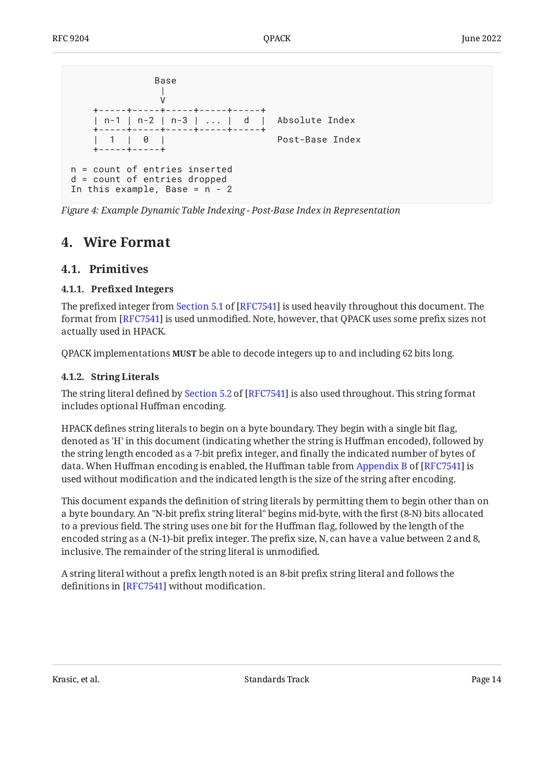<span id="page-13-4"></span>

| Base                                                                                                           |                 |
|----------------------------------------------------------------------------------------------------------------|-----------------|
| +-----+-----+-----+-----+-----+<br>  n-1   n-2   n-3      d   Absolute Index<br>+-----+-----+-----+-----+----+ |                 |
| 1 1 0 1<br>-----+-----+                                                                                        | Post-Base Index |
| $n =$ count of entries inserted<br>d = count of entries dropped<br>In this example, Base = $n - 2$             |                 |

<span id="page-13-0"></span>*[Figure 4:](#page-13-4) [Example Dynamic Table Indexing - Post-Base Index in Representation](#page-12-3)* 

## <span id="page-13-1"></span>**[4. Wire Format](#page-13-0)**

### <span id="page-13-2"></span>**[4.1. Primitives](#page-13-1)**

#### **[4.1.1. P](#page-13-2)refi[xed Integers](#page-13-2)**

Theprefixed integer from Section 5.1 of [RFC7541] is used heavily throughout this document. The format from [[RFC7541\]](#page-29-4) is used unmodified. Note, however, that QPACK uses some prefix sizes not actually used in HPACK.

<span id="page-13-3"></span>QPACK implementations **MUST** be able to decode integers up to and including 62 bits long.

#### **[4.1.2. String Literals](#page-13-3)**

Thestring literal defined by Section 5.2 of [RFC7541] is also used throughout. This string format includes optional Huffman encoding.

HPACK defines string literals to begin on a byte boundary. They begin with a single bit flag, denoted as 'H' in this document (indicating whether the string is Huffman encoded), followed by the string length encoded as a 7-bit prefix integer, and finally the indicated number of bytes of data.When Huffman encoding is enabled, the Huffman table from Appendix B of [RFC7541] is used without modification and the indicated length is the size of the string after encoding.

This document expands the definition of string literals by permitting them to begin other than on a byte boundary. An "N-bit prefix string literal" begins mid-byte, with the first (8-N) bits allocated to a previous field. The string uses one bit for the Huffman flag, followed by the length of the encoded string as a (N-1)-bit prefix integer. The prefix size, N, can have a value between 2 and 8, inclusive. The remainder of the string literal is unmodified.

A string literal without a prefix length noted is an 8-bit prefix string literal and follows the definitions in [RFC7541] without modification.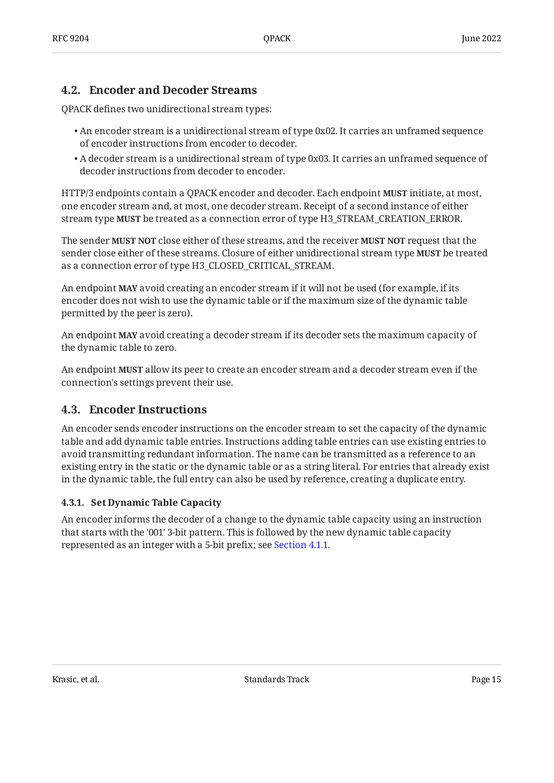### <span id="page-14-0"></span>**[4.2. Encoder and Decoder Streams](#page-14-0)**

QPACK defines two unidirectional stream types:

- $\bullet$  An encoder stream is a unidirectional stream of type 0x02. It carries an unframed sequence of encoder instructions from encoder to decoder.
- $\bullet$  A decoder stream is a unidirectional stream of type 0x03. It carries an unframed sequence of decoder instructions from decoder to encoder.

HTTP/3 endpoints contain a QPACK encoder and decoder. Each endpoint initiate, at most, **MUST** one encoder stream and, at most, one decoder stream. Receipt of a second instance of either stream type **MUST** be treated as a connection error of type H3\_STREAM\_CREATION\_ERROR.

The sender **MUST NOT** close either of these streams, and the receiver **MUST NOT** request that the sender close either of these streams. Closure of either unidirectional stream type **MUST** be treated as a connection error of type H3\_CLOSED\_CRITICAL\_STREAM.

An endpoint **MAY** avoid creating an encoder stream if it will not be used (for example, if its encoder does not wish to use the dynamic table or if the maximum size of the dynamic table permitted by the peer is zero).

An endpoint **MAY** avoid creating a decoder stream if its decoder sets the maximum capacity of the dynamic table to zero.

An endpoint **MUST** allow its peer to create an encoder stream and a decoder stream even if the connection's settings prevent their use.

### <span id="page-14-1"></span>**[4.3. Encoder Instructions](#page-14-1)**

An encoder sends encoder instructions on the encoder stream to set the capacity of the dynamic table and add dynamic table entries. Instructions adding table entries can use existing entries to avoid transmitting redundant information. The name can be transmitted as a reference to an existing entry in the static or the dynamic table or as a string literal. For entries that already exist in the dynamic table, the full entry can also be used by reference, creating a duplicate entry.

#### <span id="page-14-2"></span>**[4.3.1. Set Dynamic Table Capacity](#page-14-2)**

<span id="page-14-3"></span>An encoder informs the decoder of a change to the dynamic table capacity using an instruction that starts with the '001' 3-bit pattern. This is followed by the new dynamic table capacity represented as an integer with a 5-bit prefix; see [Section 4.1.1.](#page-13-2)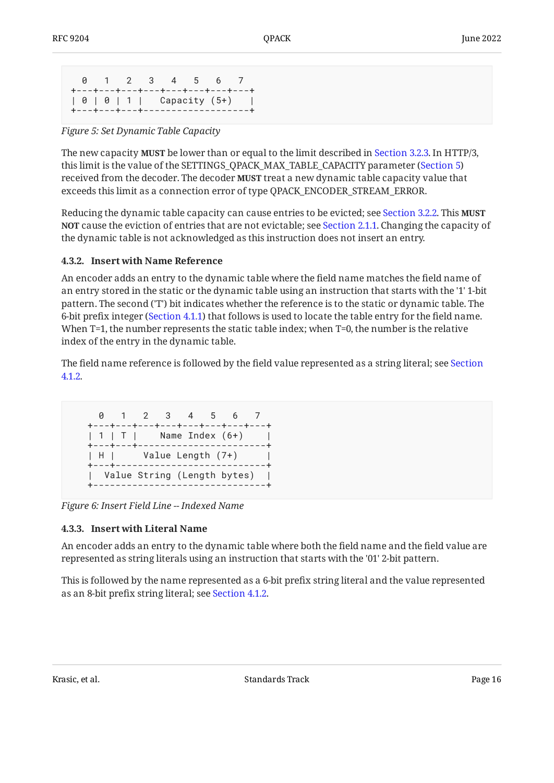```
 0 1 2 3 4 5 6 7
+---+---+---+---+---+---+---+---+
| 0 | 0 | 1 | Capacity (5+) |
+---+---+---+-------------------+
```
*[Figure 5:](#page-15-2) [Set Dynamic Table Capacity](#page-14-3)* 

The new capacity **MUST** be lower than or equal to the limit described in [Section 3.2.3.](#page-11-0) In HTTP/3, this limit is the value of the SETTINGS\_QPACK\_MAX\_TABLE\_CAPACITY parameter ([Section 5\)](#page-23-0) received from the decoder. The decoder **MUST** treat a new dynamic table capacity value that exceeds this limit as a connection error of type QPACK\_ENCODER\_STREAM\_ERROR.

Reducing the dynamic table capacity can cause entries to be evicted; see [Section 3.2.2.](#page-10-2) This **MUST** <code>NOT</code> cause the eviction of entries that are not evictable; see [Section 2.1.1.](#page-5-2) Changing the capacity of the dynamic table is not acknowledged as this instruction does not insert an entry.

#### <span id="page-15-0"></span>**[4.3.2. Insert with Name Reference](#page-15-0)**

An encoder adds an entry to the dynamic table where the field name matches the field name of an entry stored in the static or the dynamic table using an instruction that starts with the '1' 1-bit pattern. The second ('T') bit indicates whether the reference is to the static or dynamic table. The 6-bit prefix integer ([Section 4.1.1\)](#page-13-2) that follows is used to locate the table entry for the field name. When T=1, the number represents the static table index; when T=0, the number is the relative index of the entry in the dynamic table.

The field name reference is followed by the field value represented as a string literal; see [Section](#page-13-3) [4.1.2](#page-13-3).

```
 0 1 2 3 4 5 6 7
 +---+---+---+---+---+---+---+---+
| 1 | T | Name Index (6+) |
 +---+---+-----------------------+
 | H | Value Length (7+) |
 +---+---------------------------+
 | Value String (Length bytes) |
 +-------------------------------+
```
<span id="page-15-1"></span>*[Figure 6: Insert Field Line -- Indexed Name](#page-15-3)* 

#### **[4.3.3. Insert with Literal Name](#page-15-1)**

An encoder adds an entry to the dynamic table where both the field name and the field value are represented as string literals using an instruction that starts with the '01' 2-bit pattern.

<span id="page-15-4"></span>This is followed by the name represented as a 6-bit prefix string literal and the value represented as an 8-bit prefix string literal; see [Section 4.1.2.](#page-13-3)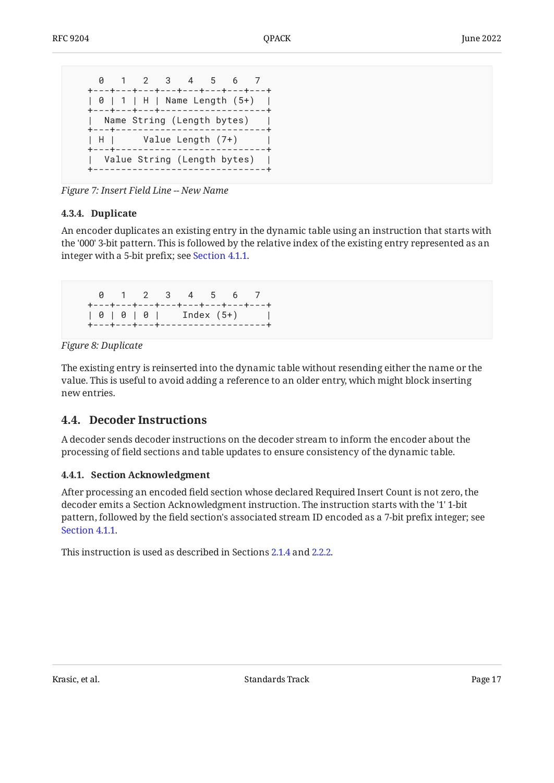```
 0 1 2 3 4 5 6 7
 +---+---+---+---+---+---+---+---+
 | 0 | 1 | H | Name Length (5+) |
 +---+---+---+-------------------+
 | Name String (Length bytes) |
 +---+---------------------------+
| H | Value Length (7+) |
 +---+---------------------------+
 | Value String (Length bytes) |
 +-------------------------------+
```
<span id="page-16-0"></span>*[Figure 7:](#page-16-3) [Insert Field Line -- New Name](#page-15-4)* 

#### **[4.3.4. Duplicate](#page-16-0)**

An encoder duplicates an existing entry in the dynamic table using an instruction that starts with the '000' 3-bit pattern. This is followed by the relative index of the existing entry represented as an integer with a 5-bit prefix; see [Section 4.1.1.](#page-13-2)

```
 0 1 2 3 4 5 6 7
 +---+---+---+---+---+---+---+---+
 | 0 | 0 | 0 | Index (5+) |
 +---+---+---+-------------------+
```
#### *[Figure 8: Duplicate](#page-16-4)*

The existing entry is reinserted into the dynamic table without resending either the name or the value. This is useful to avoid adding a reference to an older entry, which might block inserting new entries.

### <span id="page-16-1"></span>**[4.4. Decoder Instructions](#page-16-1)**

A decoder sends decoder instructions on the decoder stream to inform the encoder about the processing of field sections and table updates to ensure consistency of the dynamic table.

#### <span id="page-16-2"></span>**[4.4.1. Section Acknowledgment](#page-16-2)**

After processing an encoded field section whose declared Required Insert Count is not zero, the decoder emits a Section Acknowledgment instruction. The instruction starts with the '1' 1-bit pattern, followed by the field section's associated stream ID encoded as a 7-bit prefix integer; see [Section 4.1.1.](#page-13-2)

<span id="page-16-5"></span>This instruction is used as described in Sections [2.1.4](#page-7-1) and [2.2.2](#page-8-1).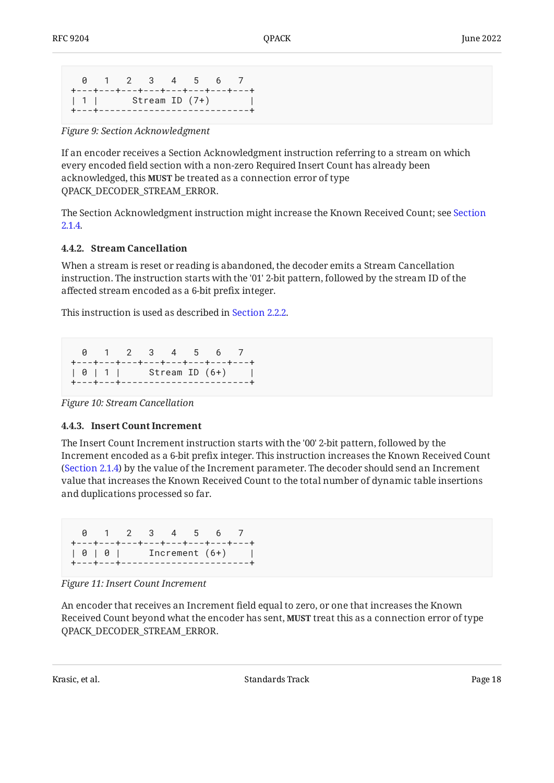```
 0 1 2 3 4 5 6 7
+---+---+---+---+---+---+---+---+
| 1 | Stream ID (7+)
+---+---------------------------+
```
*[Figure 9:](#page-17-2) [Section Acknowledgment](#page-16-5)* 

If an encoder receives a Section Acknowledgment instruction referring to a stream on which every encoded field section with a non-zero Required Insert Count has already been acknowledged, this **MUST** be treated as a connection error of type QPACK\_DECODER\_STREAM\_ERROR.

The Section Acknowledgment instruction might increase the Known Received Count; see [Section](#page-7-1) [2.1.4](#page-7-1).

#### <span id="page-17-0"></span>**[4.4.2. Stream Cancellation](#page-17-0)**

When a stream is reset or reading is abandoned, the decoder emits a Stream Cancellation instruction. The instruction starts with the '01' 2-bit pattern, followed by the stream ID of the affected stream encoded as a 6-bit prefix integer.

This instruction is used as described in [Section 2.2.2.](#page-8-1)

<span id="page-17-3"></span> 0 1 2 3 4 5 6 7 +---+---+---+---+---+---+---+---+ | 0 | 1 | Stream ID (6+) | +---+---+-----------------------+

<span id="page-17-1"></span>*[Figure 10: Stream Cancellation](#page-17-3)* 

#### **[4.4.3. Insert Count Increment](#page-17-1)**

The Insert Count Increment instruction starts with the '00' 2-bit pattern, followed by the Increment encoded as a 6-bit prefix integer. This instruction increases the Known Received Count ([Section 2.1.4\)](#page-7-1) by the value of the Increment parameter. The decoder should send an Increment value that increases the Known Received Count to the total number of dynamic table insertions and duplications processed so far.

```
 0 1 2 3 4 5 6 7
+---+---+---+---+---+---+---+---+
| 0 | 0 | Increment (6+) |
+---+---+-----------------------+
```
*[Figure 11: Insert Count Increment](#page-17-4)* 

An encoder that receives an Increment field equal to zero, or one that increases the Known Received Count beyond what the encoder has sent, **MUST** treat this as a connection error of type QPACK\_DECODER\_STREAM\_ERROR.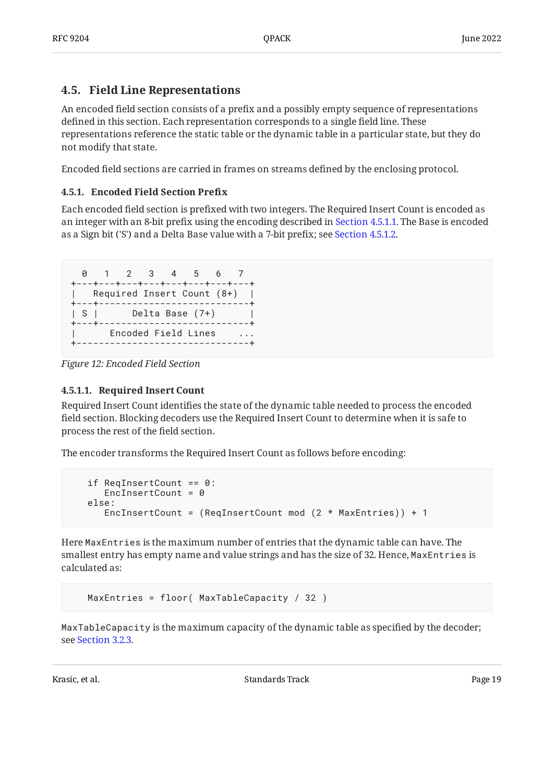#### <span id="page-18-0"></span>**[4.5. Field Line Representations](#page-18-0)**

An encoded field section consists of a prefix and a possibly empty sequence of representations defined in this section. Each representation corresponds to a single field line. These representations reference the static table or the dynamic table in a particular state, but they do not modify that state.

<span id="page-18-1"></span>Encoded field sections are carried in frames on streams defined by the enclosing protocol.

#### **[4.5.1. Encoded Field Section Pre](#page-18-1)fix**

Each encoded field section is prefixed with two integers. The Required Insert Count is encoded as an integer with an 8-bit prefix using the encoding described in [Section 4.5.1.1.](#page-18-2) The Base is encoded as a Sign bit ('S') and a Delta Base value with a 7-bit prefix; see [Section 4.5.1.2](#page-19-0).

```
 0 1 2 3 4 5 6 7
+---+---+---+---+---+---+---+---+
| Required Insert Count (8+) |
+---+---------------------------+
| S | Delta Base (7+) |
+---+---------------------------+
| Encoded Field Lines ...
+-------------------------------+
```
*[Figure 12: Encoded Field Section](#page-18-3)* 

#### <span id="page-18-2"></span>**[4.5.1.1. Required Insert Count](#page-18-2)**

Required Insert Count identifies the state of the dynamic table needed to process the encoded field section. Blocking decoders use the Required Insert Count to determine when it is safe to process the rest of the field section.

The encoder transforms the Required Insert Count as follows before encoding:

```
 if ReqInsertCount == 0:
  EncInsertCount = 0 else:
   EncInsertCount = (ReqInsertCount mod (2 * MaxEntries)) + 1
```
Here MaxEntries is the maximum number of entries that the dynamic table can have. The smallest entry has empty name and value strings and has the size of 32. Hence, MaxEntries is calculated as:

```
 MaxEntries = floor( MaxTableCapacity / 32 )
```
MaxTableCapacity is the maximum capacity of the dynamic table as specified by the decoder; see [Section 3.2.3.](#page-11-0)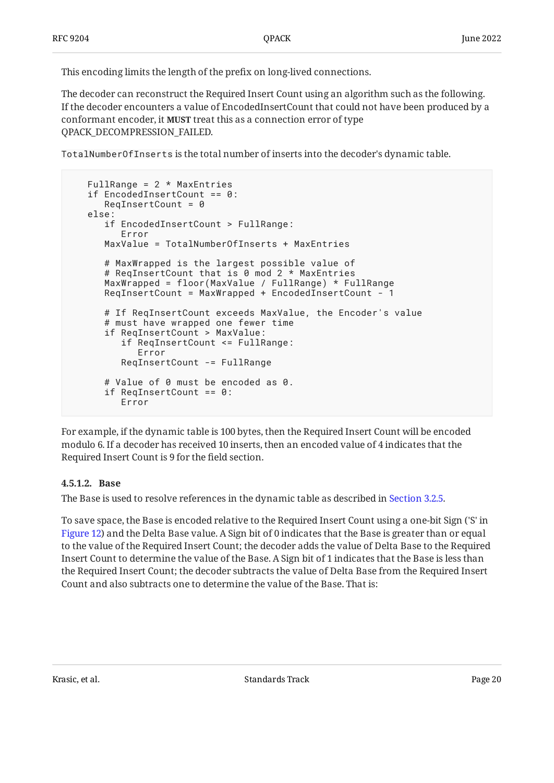This encoding limits the length of the prefix on long-lived connections.

The decoder can reconstruct the Required Insert Count using an algorithm such as the following. If the decoder encounters a value of EncodedInsertCount that could not have been produced by a conformant encoder, it **MUST** treat this as a connection error of type QPACK\_DECOMPRESSION\_FAILED.

TotalNumberOfInserts is the total number of inserts into the decoder's dynamic table.

```
FullRange = 2 * MaxEntries
 if EncodedInsertCount == 0:
   RequiredInsertCount = 0 else:
    if EncodedInsertCount > FullRange:
       Error
    MaxValue = TotalNumberOfInserts + MaxEntries
    # MaxWrapped is the largest possible value of
    # ReqInsertCount that is 0 mod 2 * MaxEntries
    MaxWrapped = floor(MaxValue / FullRange) * FullRange
    ReqInsertCount = MaxWrapped + EncodedInsertCount - 1
    # If ReqInsertCount exceeds MaxValue, the Encoder's value
    # must have wrapped one fewer time
    if ReqInsertCount > MaxValue:
       if ReqInsertCount <= FullRange:
          Error
       ReqInsertCount -= FullRange
    # Value of 0 must be encoded as 0.
    if ReqInsertCount == 0:
       Error
```
For example, if the dynamic table is 100 bytes, then the Required Insert Count will be encoded modulo 6. If a decoder has received 10 inserts, then an encoded value of 4 indicates that the Required Insert Count is 9 for the field section.

#### <span id="page-19-0"></span>**[4.5.1.2. Base](#page-19-0)**

The Base is used to resolve references in the dynamic table as described in [Section 3.2.5](#page-11-2).

To save space, the Base is encoded relative to the Required Insert Count using a one-bit Sign ('S' in [Figure 12\)](#page-18-3) and the Delta Base value. A Sign bit of 0 indicates that the Base is greater than or equal to the value of the Required Insert Count; the decoder adds the value of Delta Base to the Required Insert Count to determine the value of the Base. A Sign bit of 1 indicates that the Base is less than the Required Insert Count; the decoder subtracts the value of Delta Base from the Required Insert Count and also subtracts one to determine the value of the Base. That is: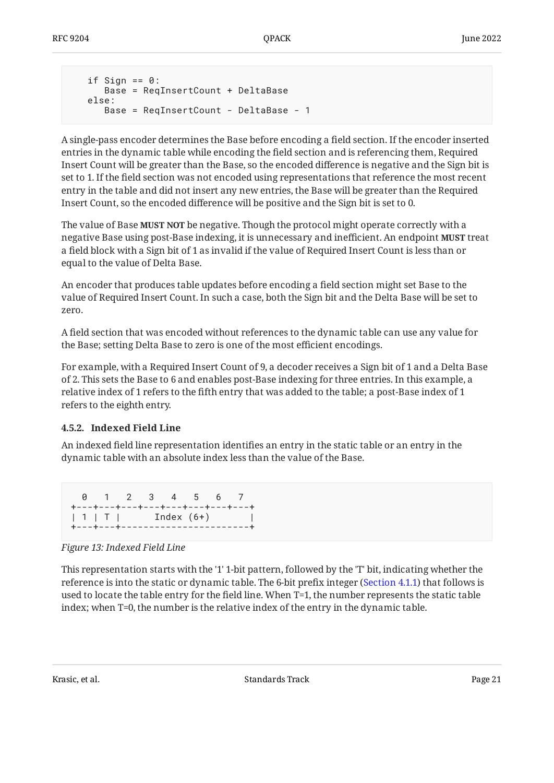```
if Sign == 0:
    Base = ReqInsertCount + DeltaBase
 else:
    Base = ReqInsertCount - DeltaBase - 1
```
A single-pass encoder determines the Base before encoding a field section. If the encoder inserted entries in the dynamic table while encoding the field section and is referencing them, Required Insert Count will be greater than the Base, so the encoded difference is negative and the Sign bit is set to 1. If the field section was not encoded using representations that reference the most recent entry in the table and did not insert any new entries, the Base will be greater than the Required Insert Count, so the encoded difference will be positive and the Sign bit is set to 0.

The value of Base **MUST NOT** be negative. Though the protocol might operate correctly with a negative Base using post-Base indexing, it is unnecessary and inefficient. An endpoint **MUST** treat a field block with a Sign bit of 1 as invalid if the value of Required Insert Count is less than or equal to the value of Delta Base.

An encoder that produces table updates before encoding a field section might set Base to the value of Required Insert Count. In such a case, both the Sign bit and the Delta Base will be set to zero.

A field section that was encoded without references to the dynamic table can use any value for the Base; setting Delta Base to zero is one of the most efficient encodings.

For example, with a Required Insert Count of 9, a decoder receives a Sign bit of 1 and a Delta Base of 2. This sets the Base to 6 and enables post-Base indexing for three entries. In this example, a relative index of 1 refers to the fifth entry that was added to the table; a post-Base index of 1 refers to the eighth entry.

#### <span id="page-20-0"></span>**[4.5.2. Indexed Field Line](#page-20-0)**

An indexed field line representation identifies an entry in the static table or an entry in the dynamic table with an absolute index less than the value of the Base.

<span id="page-20-1"></span>

|                              | 0 1 2 3 4 5 6 7 |  |  |                                     |
|------------------------------|-----------------|--|--|-------------------------------------|
|                              |                 |  |  | +---+---+---+---+---+---+---+---+-- |
| $ 1 $ T   Index (6+)         |                 |  |  |                                     |
| +---+---+------------------- |                 |  |  |                                     |

*[Figure 13: Indexed Field Line](#page-20-1)* 

This representation starts with the '1' 1-bit pattern, followed by the 'T' bit, indicating whether the reference is into the static or dynamic table. The 6-bit prefix integer ([Section 4.1.1\)](#page-13-2) that follows is used to locate the table entry for the field line. When T=1, the number represents the static table index; when T=0, the number is the relative index of the entry in the dynamic table.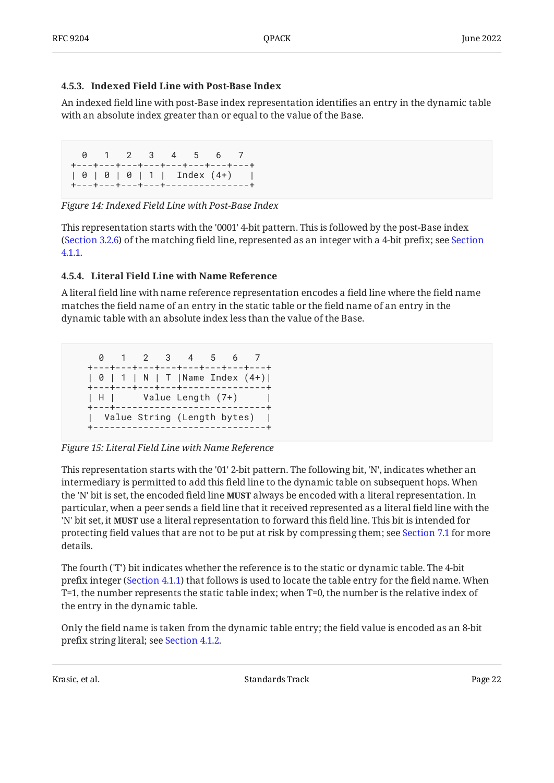#### <span id="page-21-0"></span>**[4.5.3. Indexed Field Line with Post-Base Index](#page-21-0)**

An indexed field line with post-Base index representation identifies an entry in the dynamic table with an absolute index greater than or equal to the value of the Base.

```
 0 1 2 3 4 5 6 7
+---+---+---+---+---+---+---+---+
| 0 | 0 | 0 | 1 | Index (4+) |
+---+---+---+---+---------------+
```
*[Figure 14: Indexed Field Line with Post-Base Index](#page-21-2)* 

This representation starts with the '0001' 4-bit pattern. This is followed by the post-Base index ([Section 3.2.6\)](#page-12-0) of the matching field line, represented as an integer with a 4-bit prefix; see [Section](#page-13-2) [4.1.1](#page-13-2).

#### <span id="page-21-1"></span>**[4.5.4. Literal Field Line with Name Reference](#page-21-1)**

A literal field line with name reference representation encodes a field line where the field name matches the field name of an entry in the static table or the field name of an entry in the dynamic table with an absolute index less than the value of the Base.

<span id="page-21-3"></span> 0 1 2 3 4 5 6 7 +---+---+---+---+---+---+---+---+ | 0 | 1 | N | T |Name Index (4+)| +---+---+---+---+---------------+ | H | Value Length (7+) | +---+---------------------------+ | Value String (Length bytes) | +-------------------------------+

*[Figure 15: Literal Field Line with Name Reference](#page-21-3)* 

This representation starts with the '01' 2-bit pattern. The following bit, 'N', indicates whether an intermediary is permitted to add this field line to the dynamic table on subsequent hops. When the 'N' bit is set, the encoded field line **MUST** always be encoded with a literal representation. In particular, when a peer sends a field line that it received represented as a literal field line with the 'N' bit set, it **MUST** use a literal representation to forward this field line. This bit is intended for protecting field values that are not to be put at risk by compressing them; see [Section 7.1](#page-23-3) for more details.

The fourth ('T') bit indicates whether the reference is to the static or dynamic table. The 4-bit prefix integer [\(Section 4.1.1](#page-13-2)) that follows is used to locate the table entry for the field name. When T=1, the number represents the static table index; when T=0, the number is the relative index of the entry in the dynamic table.

Only the field name is taken from the dynamic table entry; the field value is encoded as an 8-bit prefix string literal; see [Section 4.1.2.](#page-13-3)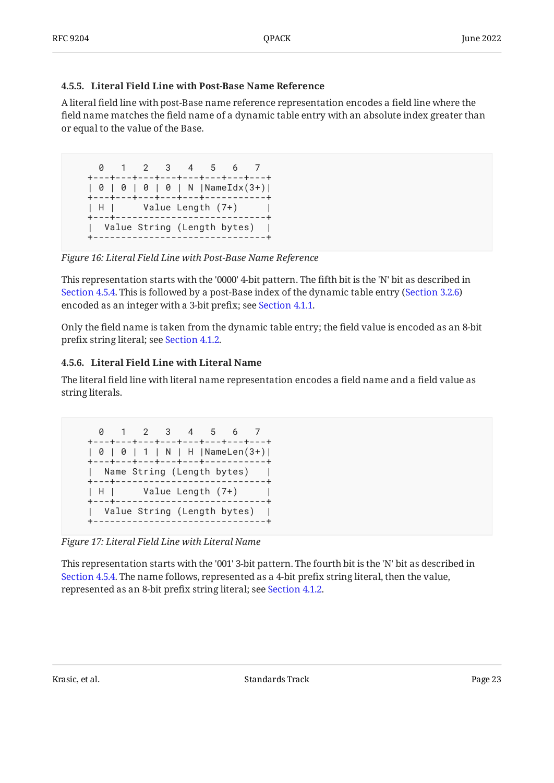#### <span id="page-22-0"></span>**[4.5.5. Literal Field Line with Post-Base Name Reference](#page-22-0)**

A literal field line with post-Base name reference representation encodes a field line where the field name matches the field name of a dynamic table entry with an absolute index greater than or equal to the value of the Base.

<span id="page-22-2"></span> 0 1 2 3 4 5 6 7 +---+---+---+---+---+---+---+---+ | 0 | 0 | 0 | 0 | N |NameIdx(3+)| +---+---+---+---+---+-----------+ | H | Value Length (7+) | +---+---------------------------+ | Value String (Length bytes) | +-------------------------------+

*[Figure 16: Literal Field Line with Post-Base Name Reference](#page-22-2)* 

This representation starts with the '0000' 4-bit pattern. The fifth bit is the 'N' bit as described in [Section 4.5.4.](#page-21-1) This is followed by a post-Base index of the dynamic table entry ([Section 3.2.6\)](#page-12-0) encoded as an integer with a 3-bit prefix; see [Section 4.1.1.](#page-13-2)

Only the field name is taken from the dynamic table entry; the field value is encoded as an 8-bit prefix string literal; see [Section 4.1.2.](#page-13-3)

#### <span id="page-22-1"></span>**[4.5.6. Literal Field Line with Literal Name](#page-22-1)**

The literal field line with literal name representation encodes a field name and a field value as string literals.

<span id="page-22-3"></span>

*[Figure 17: Literal Field Line with Literal Name](#page-22-3)* 

This representation starts with the '001' 3-bit pattern. The fourth bit is the 'N' bit as described in [Section 4.5.4.](#page-21-1) The name follows, represented as a 4-bit prefix string literal, then the value, represented as an 8-bit prefix string literal; see [Section 4.1.2.](#page-13-3)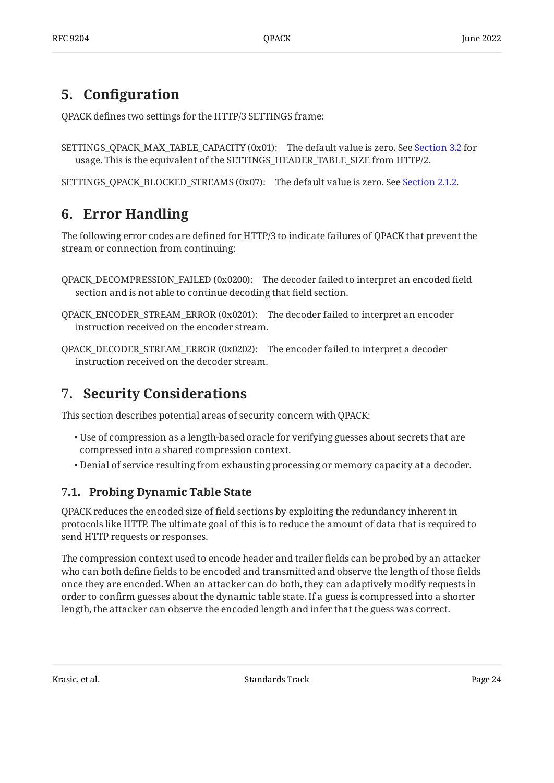## <span id="page-23-0"></span>**[5. C](#page-23-0)onfi[guration](#page-23-0)**

QPACK defines two settings for the HTTP/3 SETTINGS frame:

```
SETTINGS_QPACK_MAX_TABLE_CAPACITY (0x01):
The default value is zero. See Section 3.2 for
  usage. This is the equivalent of the SETTINGS_HEADER_TABLE_SIZE from HTTP/2.
```
<span id="page-23-1"></span>SETTINGS\_QPACK\_BLOCKED\_STREAMS (0x07): The default value is zero. See [Section 2.1.2.](#page-6-0)

## **[6. Error Handling](#page-23-1)**

The following error codes are defined for HTTP/3 to indicate failures of QPACK that prevent the stream or connection from continuing:

- QPACK\_DECOMPRESSION\_FAILED (0x0200): The decoder failed to interpret an encoded field section and is not able to continue decoding that field section.
- QPACK\_ENCODER\_STREAM\_ERROR (0x0201): The decoder failed to interpret an encoder instruction received on the encoder stream.
- QPACK\_DECODER\_STREAM\_ERROR (0x0202): The encoder failed to interpret a decoder instruction received on the decoder stream.

## <span id="page-23-2"></span>**[7. Security Considerations](#page-23-2)**

This section describes potential areas of security concern with QPACK:

- $\bullet$  Use of compression as a length-based oracle for verifying guesses about secrets that are compressed into a shared compression context.
- <span id="page-23-3"></span>Denial of service resulting from exhausting processing or memory capacity at a decoder. •

## **[7.1. Probing Dynamic Table State](#page-23-3)**

QPACK reduces the encoded size of field sections by exploiting the redundancy inherent in protocols like HTTP. The ultimate goal of this is to reduce the amount of data that is required to send HTTP requests or responses.

The compression context used to encode header and trailer fields can be probed by an attacker who can both define fields to be encoded and transmitted and observe the length of those fields once they are encoded. When an attacker can do both, they can adaptively modify requests in order to confirm guesses about the dynamic table state. If a guess is compressed into a shorter length, the attacker can observe the encoded length and infer that the guess was correct.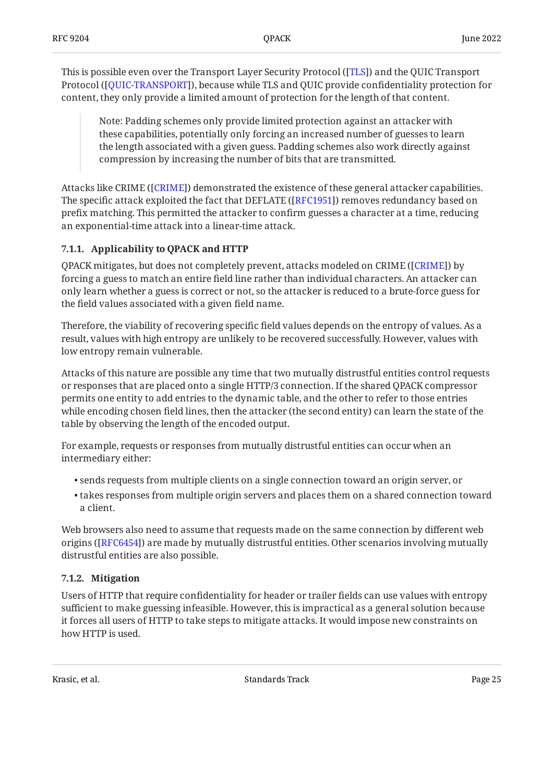This is possible even over the Transport Layer Security Protocol ([TLS]) and the QUIC Transport Protocol ([QUIC-TRANSPORT]), because while TLS and QUIC provide confidentiality protection for content, they only provide a limited amount of protection for the length of that content.

Note: Padding schemes only provide limited protection against an attacker with these capabilities, potentially only forcing an increased number of guesses to learn the length associated with a given guess. Padding schemes also work directly against compression by increasing the number of bits that are transmitted.

Attacks like CRIME ([CRIME]) demonstrated the existence of these general attacker capabilities. The specific attack exploited the fact that DEFLATE ([RFC1951]) removes redundancy based on prefix matching. This permitted the attacker to confirm guesses a character at a time, reducing an exponential-time attack into a linear-time attack.

#### <span id="page-24-0"></span>**[7.1.1. Applicability to QPACK and HTTP](#page-24-0)**

QPACK mitigates, but does not completely prevent, attacks modeled on CRIME ([CRIME]) by forcing a guess to match an entire field line rather than individual characters. An attacker can only learn whether a guess is correct or not, so the attacker is reduced to a brute-force guess for the field values associated with a given field name.

Therefore, the viability of recovering specific field values depends on the entropy of values. As a result, values with high entropy are unlikely to be recovered successfully. However, values with low entropy remain vulnerable.

Attacks of this nature are possible any time that two mutually distrustful entities control requests or responses that are placed onto a single HTTP/3 connection. If the shared QPACK compressor permits one entity to add entries to the dynamic table, and the other to refer to those entries while encoding chosen field lines, then the attacker (the second entity) can learn the state of the table by observing the length of the encoded output.

For example, requests or responses from mutually distrustful entities can occur when an intermediary either:

- $\bullet$  sends requests from multiple clients on a single connection toward an origin server, or
- $\bullet$  takes responses from multiple origin servers and places them on a shared connection toward a client.

Web browsers also need to assume that requests made on the same connection by different web origins ([RFC6454]) are made by mutually distrustful entities. Other scenarios involving mutually distrustful entities are also possible.

#### <span id="page-24-1"></span>**[7.1.2. Mitigation](#page-24-1)**

Users of HTTP that require confidentiality for header or trailer fields can use values with entropy sufficient to make guessing infeasible. However, this is impractical as a general solution because it forces all users of HTTP to take steps to mitigate attacks. It would impose new constraints on how HTTP is used.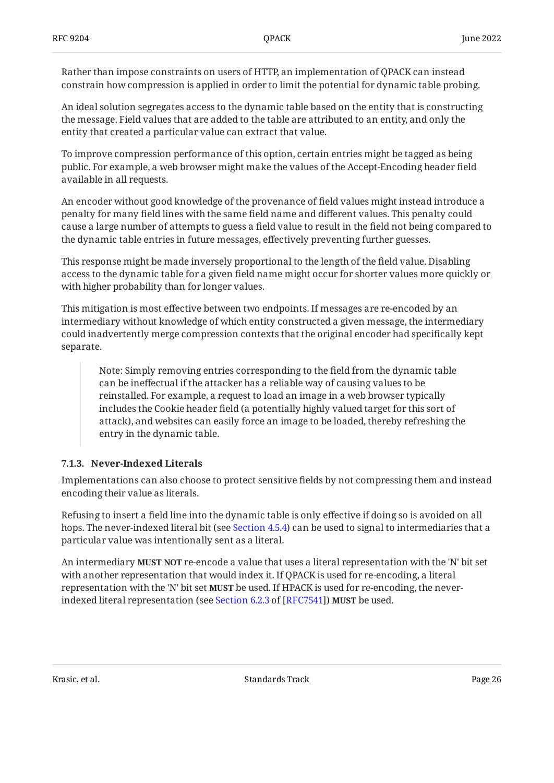Rather than impose constraints on users of HTTP, an implementation of QPACK can instead constrain how compression is applied in order to limit the potential for dynamic table probing.

An ideal solution segregates access to the dynamic table based on the entity that is constructing the message. Field values that are added to the table are attributed to an entity, and only the entity that created a particular value can extract that value.

To improve compression performance of this option, certain entries might be tagged as being public. For example, a web browser might make the values of the Accept-Encoding header field available in all requests.

An encoder without good knowledge of the provenance of field values might instead introduce a penalty for many field lines with the same field name and different values. This penalty could cause a large number of attempts to guess a field value to result in the field not being compared to the dynamic table entries in future messages, effectively preventing further guesses.

This response might be made inversely proportional to the length of the field value. Disabling access to the dynamic table for a given field name might occur for shorter values more quickly or with higher probability than for longer values.

This mitigation is most effective between two endpoints. If messages are re-encoded by an intermediary without knowledge of which entity constructed a given message, the intermediary could inadvertently merge compression contexts that the original encoder had specifically kept separate.

Note: Simply removing entries corresponding to the field from the dynamic table can be ineffectual if the attacker has a reliable way of causing values to be reinstalled. For example, a request to load an image in a web browser typically includes the Cookie header field (a potentially highly valued target for this sort of attack), and websites can easily force an image to be loaded, thereby refreshing the entry in the dynamic table.

#### <span id="page-25-0"></span>**[7.1.3. Never-Indexed Literals](#page-25-0)**

Implementations can also choose to protect sensitive fields by not compressing them and instead encoding their value as literals.

Refusing to insert a field line into the dynamic table is only effective if doing so is avoided on all hops. The never-indexed literal bit (see [Section 4.5.4](#page-21-1)) can be used to signal to intermediaries that a particular value was intentionally sent as a literal.

An intermediary **MUST NOT** re-encode a value that uses a literal representation with the 'N' bit set with another representation that would index it. If QPACK is used for re-encoding, a literal representation with the 'N' bit set **MUST** be used. If HPACK is used for re-encoding, the neverindexedliteral representation (see Section 6.2.3 of [RFC7541]) **MUST** be used.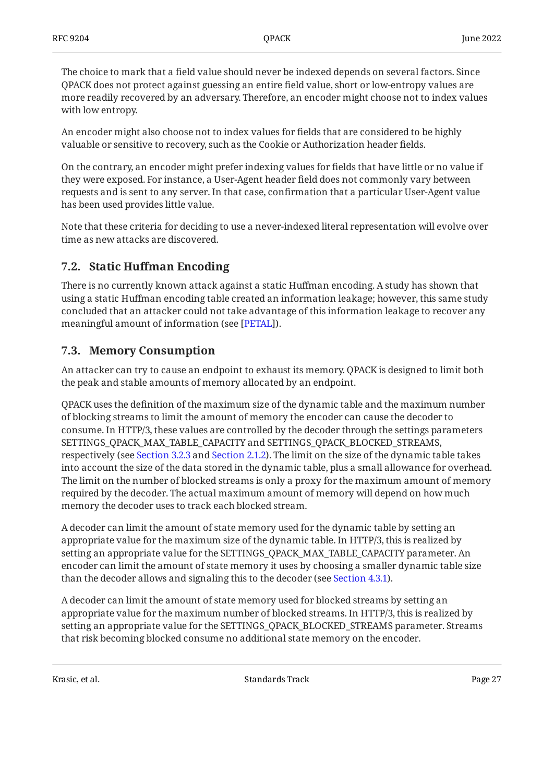The choice to mark that a field value should never be indexed depends on several factors. Since QPACK does not protect against guessing an entire field value, short or low-entropy values are more readily recovered by an adversary. Therefore, an encoder might choose not to index values with low entropy.

An encoder might also choose not to index values for fields that are considered to be highly valuable or sensitive to recovery, such as the Cookie or Authorization header fields.

On the contrary, an encoder might prefer indexing values for fields that have little or no value if they were exposed. For instance, a User-Agent header field does not commonly vary between requests and is sent to any server. In that case, confirmation that a particular User-Agent value has been used provides little value.

Note that these criteria for deciding to use a never-indexed literal representation will evolve over time as new attacks are discovered.

### <span id="page-26-0"></span>**[7.2. S](#page-26-0)tatic Huff[man Encoding](#page-26-0)**

There is no currently known attack against a static Huffman encoding. A study has shown that using a static Huffman encoding table created an information leakage; however, this same study concluded that an attacker could not take advantage of this information leakage to recover any meaningful amount of information (see [\[PETAL](#page-29-13)]).

### <span id="page-26-1"></span>**[7.3. Memory Consumption](#page-26-1)**

An attacker can try to cause an endpoint to exhaust its memory. QPACK is designed to limit both the peak and stable amounts of memory allocated by an endpoint.

QPACK uses the definition of the maximum size of the dynamic table and the maximum number of blocking streams to limit the amount of memory the encoder can cause the decoder to consume. In HTTP/3, these values are controlled by the decoder through the settings parameters SETTINGS\_QPACK\_MAX\_TABLE\_CAPACITY and SETTINGS\_QPACK\_BLOCKED\_STREAMS, respectively (see [Section 3.2.3](#page-11-0) and [Section 2.1.2\)](#page-6-0). The limit on the size of the dynamic table takes into account the size of the data stored in the dynamic table, plus a small allowance for overhead. The limit on the number of blocked streams is only a proxy for the maximum amount of memory required by the decoder. The actual maximum amount of memory will depend on how much memory the decoder uses to track each blocked stream.

A decoder can limit the amount of state memory used for the dynamic table by setting an appropriate value for the maximum size of the dynamic table. In HTTP/3, this is realized by setting an appropriate value for the SETTINGS\_QPACK\_MAX\_TABLE\_CAPACITY parameter. An encoder can limit the amount of state memory it uses by choosing a smaller dynamic table size than the decoder allows and signaling this to the decoder (see [Section 4.3.1](#page-14-2)).

A decoder can limit the amount of state memory used for blocked streams by setting an appropriate value for the maximum number of blocked streams. In HTTP/3, this is realized by setting an appropriate value for the SETTINGS\_QPACK\_BLOCKED\_STREAMS parameter. Streams that risk becoming blocked consume no additional state memory on the encoder.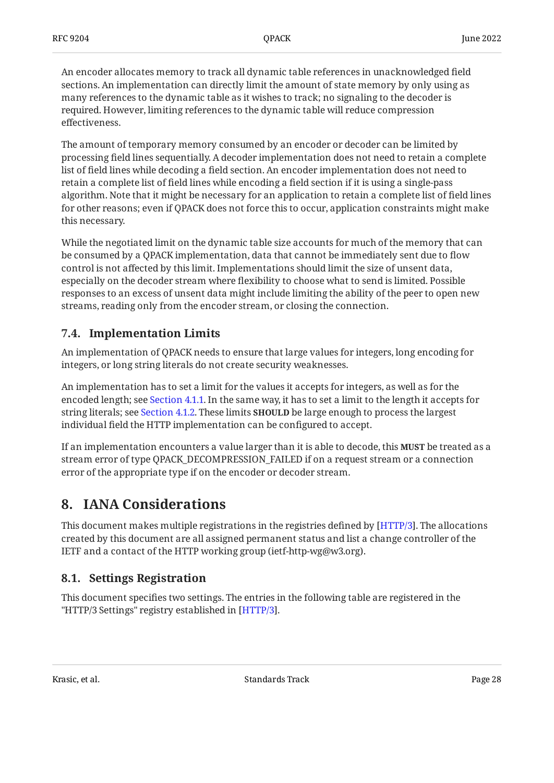An encoder allocates memory to track all dynamic table references in unacknowledged field sections. An implementation can directly limit the amount of state memory by only using as many references to the dynamic table as it wishes to track; no signaling to the decoder is required. However, limiting references to the dynamic table will reduce compression effectiveness.

The amount of temporary memory consumed by an encoder or decoder can be limited by processing field lines sequentially. A decoder implementation does not need to retain a complete list of field lines while decoding a field section. An encoder implementation does not need to retain a complete list of field lines while encoding a field section if it is using a single-pass algorithm. Note that it might be necessary for an application to retain a complete list of field lines for other reasons; even if QPACK does not force this to occur, application constraints might make this necessary.

While the negotiated limit on the dynamic table size accounts for much of the memory that can be consumed by a QPACK implementation, data that cannot be immediately sent due to flow control is not affected by this limit. Implementations should limit the size of unsent data, especially on the decoder stream where flexibility to choose what to send is limited. Possible responses to an excess of unsent data might include limiting the ability of the peer to open new streams, reading only from the encoder stream, or closing the connection.

### <span id="page-27-0"></span>**[7.4. Implementation Limits](#page-27-0)**

An implementation of QPACK needs to ensure that large values for integers, long encoding for integers, or long string literals do not create security weaknesses.

An implementation has to set a limit for the values it accepts for integers, as well as for the encoded length; see [Section 4.1.1.](#page-13-2) In the same way, it has to set a limit to the length it accepts for string literals; see [Section 4.1.2](#page-13-3). These limits **SHOULD** be large enough to process the largest individual field the HTTP implementation can be configured to accept.

If an implementation encounters a value larger than it is able to decode, this **MUST** be treated as a stream error of type QPACK\_DECOMPRESSION\_FAILED if on a request stream or a connection error of the appropriate type if on the encoder or decoder stream.

## <span id="page-27-1"></span>**[8. IANA Considerations](#page-27-1)**

This document makes multiple registrations in the registries defined by [HTTP/3]. The allocations created by this document are all assigned permanent status and list a change controller of the IETF and a contact of the HTTP working group (ietf-http-wg@w3.org).

## <span id="page-27-2"></span>**[8.1. Settings Registration](#page-27-2)**

<span id="page-27-3"></span>This document specifies two settings. The entries in the following table are registered in the "HTTP/3 Settings" registry established in [\[HTTP/3](#page-29-5)].

Krasic, et al. Standards Track Page 28 and 28 and 28 and 28 and 28 and 28 and 28 and 28 and 28 and 28 and 28 and 28 and 28 and 28 and 28 and 28 and 28 and 28 and 28 and 28 and 28 and 28 and 28 and 28 and 28 and 28 and 28 a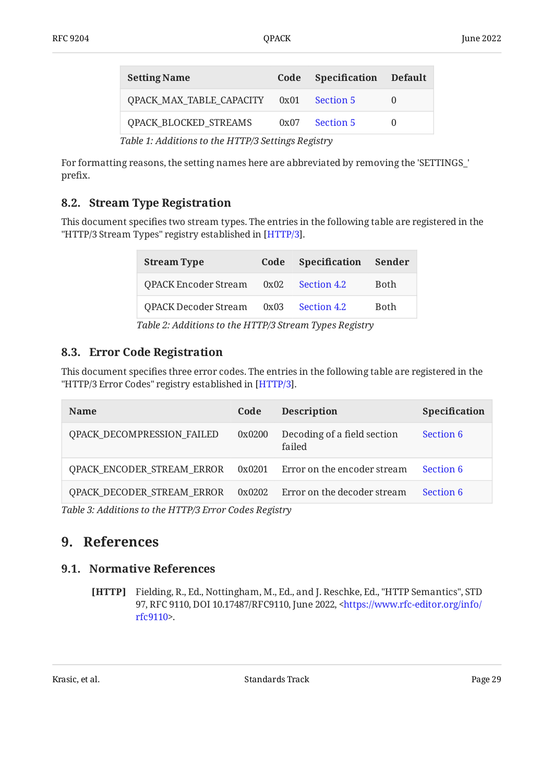<span id="page-28-5"></span>

| <b>Setting Name</b>                                   |  | Code Specification Default |  |  |
|-------------------------------------------------------|--|----------------------------|--|--|
| <b>QPACK MAX TABLE CAPACITY 0x01 Section 5</b>        |  |                            |  |  |
| <b>QPACK BLOCKED STREAMS</b>                          |  | 0x07 Section 5             |  |  |
| $Table 1: Addition of the HTTP/2$ $Continino Daciotm$ |  |                            |  |  |

*[Table 1:](#page-28-5) [Additions to the HTTP/3 Settings Registry](#page-27-3)* 

For formatting reasons, the setting names here are abbreviated by removing the 'SETTINGS\_' prefix.

### <span id="page-28-0"></span>**[8.2. Stream Type Registration](#page-28-0)**

<span id="page-28-7"></span>This document specifies two stream types. The entries in the following table are registered in the "HTTP/3 Stream Types" registry established in [HTTP/3].

<span id="page-28-6"></span>

| <b>Stream Type</b>          | Code | <b>Specification</b> | Sender      |
|-----------------------------|------|----------------------|-------------|
| <b>QPACK Encoder Stream</b> | 0x02 | Section 4.2          | <b>Both</b> |
| <b>QPACK Decoder Stream</b> | 0x03 | Section 4.2          | <b>Both</b> |

*[Table 2:](#page-28-6) [Additions to the HTTP/3 Stream Types Registry](#page-28-7)* 

### <span id="page-28-1"></span>**[8.3. Error Code Registration](#page-28-1)**

This document specifies three error codes. The entries in the following table are registered in the "HTTP/3 Error Codes" registry established in [\[HTTP/3](#page-29-5)].

<span id="page-28-8"></span>

| <b>Name</b>                                         | Code   | <b>Description</b>                    | Specification |
|-----------------------------------------------------|--------|---------------------------------------|---------------|
| QPACK_DECOMPRESSION_FAILED                          | 0x0200 | Decoding of a field section<br>failed | Section 6     |
| QPACK_ENCODER_STREAM_ERROR                          | 0x0201 | Error on the encoder stream           | Section 6     |
| QPACK_DECODER_STREAM_ERROR                          | 0x0202 | Error on the decoder stream           | Section 6     |
| Table 2. Additionate the HTTD/2 Emer Cades Degistry |        |                                       |               |

<span id="page-28-2"></span>*[Table 3: Additions to the HTTP/3 Error Codes Registry](#page-28-8)* 

## <span id="page-28-3"></span>**[9. References](#page-28-2)**

#### <span id="page-28-4"></span>**[9.1. Normative References](#page-28-3)**

**[HTTP]** Fielding, R., Ed., Nottingham, M., Ed., and J. Reschke, Ed., "HTTP Semantics", STD 97, RFC 9110, DOI 10.17487/RFC9110, June 2022, [<https://www.rfc-editor.org/info/](https://www.rfc-editor.org/info/rfc9110) . [rfc9110](https://www.rfc-editor.org/info/rfc9110)>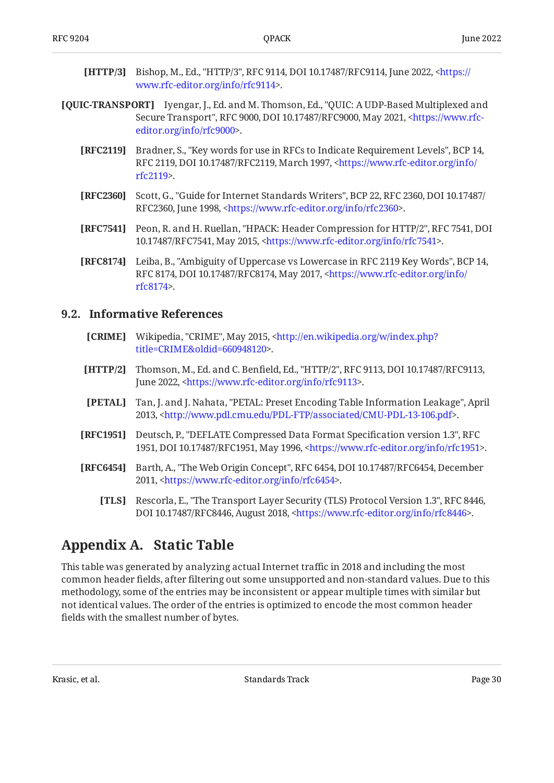- <span id="page-29-5"></span>**[HTTP/3]** Bishop, M., Ed., "HTTP/3", RFC 9114, DOI 10.17487/RFC9114, June 2022, [<https://](https://www.rfc-editor.org/info/rfc9114) . [www.rfc-editor.org/info/rfc9114>](https://www.rfc-editor.org/info/rfc9114)
- <span id="page-29-8"></span><span id="page-29-6"></span><span id="page-29-2"></span>**[QUIC-TRANSPORT]** Iyengar, J., Ed. and M. Thomson, Ed., "QUIC: A UDP-Based Multiplexed and Secure Transport", RFC 9000, DOI 10.17487/RFC9000, May 2021, <[https://www.rfc-](https://www.rfc-editor.org/info/rfc9000). [editor.org/info/rfc9000](https://www.rfc-editor.org/info/rfc9000)>
	- **[RFC2119]** Bradner, S., "Key words for use in RFCs to Indicate Requirement Levels", BCP 14, RFC 2119, DOI 10.17487/RFC2119, March 1997, [<https://www.rfc-editor.org/info/](https://www.rfc-editor.org/info/rfc2119) . [rfc2119](https://www.rfc-editor.org/info/rfc2119)>
	- **[RFC2360]** Scott, G., "Guide for Internet Standards Writers", BCP 22, RFC 2360, DOI 10.17487/ RFC2360, June 1998, <https://www.rfc-editor.org/info/rfc2360>.
	- **[RFC7541]** Peon, R. and H. Ruellan, "HPACK: Header Compression for HTTP/2", RFC 7541, DOI 10.17487/RFC7541, May 2015, <https://www.rfc-editor.org/info/rfc7541>.
	- **[RFC8174]** Leiba, B., "Ambiguity of Uppercase vs Lowercase in RFC 2119 Key Words", BCP 14, RFC 8174, DOI 10.17487/RFC8174, May 2017, <[https://www.rfc-editor.org/info/](https://www.rfc-editor.org/info/rfc8174) . [rfc8174](https://www.rfc-editor.org/info/rfc8174)>

#### <span id="page-29-10"></span><span id="page-29-7"></span><span id="page-29-4"></span><span id="page-29-0"></span>**[9.2. Informative References](#page-29-0)**

- **[CRIME]** Wikipedia, "CRIME", May 2015, [<http://en.wikipedia.org/w/index.php?](http://en.wikipedia.org/w/index.php?title=CRIME&oldid=660948120) . [title=CRIME&oldid=660948120](http://en.wikipedia.org/w/index.php?title=CRIME&oldid=660948120)>
- <span id="page-29-3"></span>**[HTTP/2]** Thomson, M., Ed. and C. Benfield, Ed., "HTTP/2", RFC 9113, DOI 10.17487/RFC9113, June 2022, <https://www.rfc-editor.org/info/rfc9113>.
- <span id="page-29-13"></span>**[PETAL]** Tan, J. and J. Nahata, "PETAL: Preset Encoding Table Information Leakage", April 2013, <http://www.pdl.cmu.edu/PDL-FTP/associated/CMU-PDL-13-106.pdf>.
- <span id="page-29-11"></span>**[RFC1951]** Deutsch, P., "DEFLATE Compressed Data Format Specification version 1.3", RFC 1951, DOI 10.17487/RFC1951, May 1996, <[https://www.rfc-editor.org/info/rfc1951>](https://www.rfc-editor.org/info/rfc1951).
- <span id="page-29-12"></span><span id="page-29-9"></span>**[RFC6454]** Barth, A., "The Web Origin Concept", RFC 6454, DOI 10.17487/RFC6454, December 2011, <[https://www.rfc-editor.org/info/rfc6454>](https://www.rfc-editor.org/info/rfc6454).
	- [TLS] Rescorla, E., "The Transport Layer Security (TLS) Protocol Version 1.3", RFC 8446, DOI 10.17487/RFC8446, August 2018, <https://www.rfc-editor.org/info/rfc8446>.

## <span id="page-29-1"></span>**[Appendix A. Static Table](#page-29-1)**

This table was generated by analyzing actual Internet traffic in 2018 and including the most common header fields, after filtering out some unsupported and non-standard values. Due to this methodology, some of the entries may be inconsistent or appear multiple times with similar but not identical values. The order of the entries is optimized to encode the most common header fields with the smallest number of bytes.

<span id="page-29-14"></span>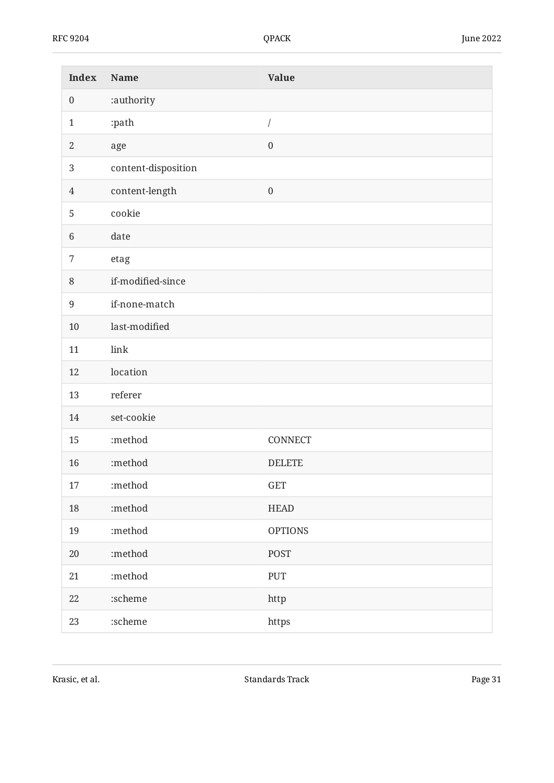<span id="page-30-0"></span>

| <b>Index</b>     | Name                | <b>Value</b>     |
|------------------|---------------------|------------------|
| $\boldsymbol{0}$ | :authority          |                  |
| $\mathbf{1}$     | :path               | /                |
| $\sqrt{2}$       | age                 | $\boldsymbol{0}$ |
| $\mathbf{3}$     | content-disposition |                  |
| $\overline{4}$   | content-length      | $\boldsymbol{0}$ |
| 5                | cookie              |                  |
| $\,6\,$          | date                |                  |
| 7                | etag                |                  |
| $\, 8$           | if-modified-since   |                  |
| $\boldsymbol{9}$ | if-none-match       |                  |
| 10               | last-modified       |                  |
| 11               | link                |                  |
| 12               | location            |                  |
| 13               | referer             |                  |
| 14               | set-cookie          |                  |
| 15               | :method             | CONNECT          |
| 16               | :method             | <b>DELETE</b>    |
| 17               | :method             | GET              |
| $18\,$           | :method             | <b>HEAD</b>      |
| 19               | :method             | <b>OPTIONS</b>   |
| $20\,$           | :method             | <b>POST</b>      |
| $21\,$           | :method             | PUT              |
| $22\,$           | :scheme             | http             |
| 23               | $:$ scheme          | https            |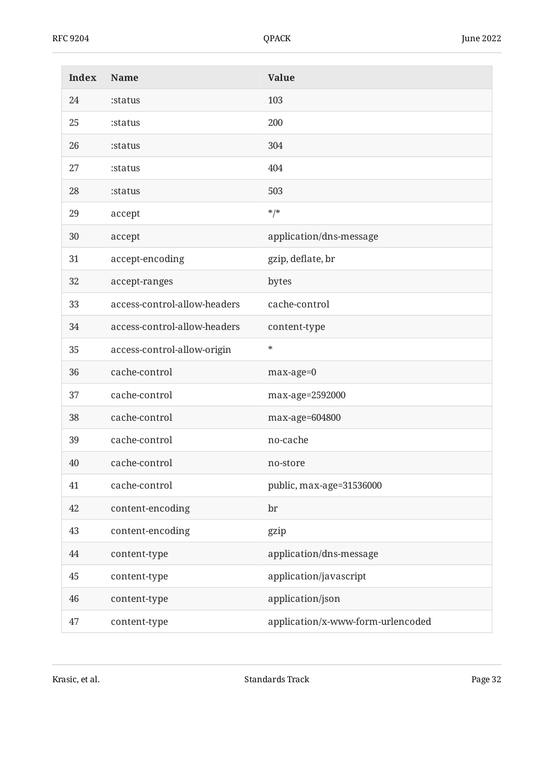| <b>Index</b> | <b>Name</b>                  | <b>Value</b>                      |
|--------------|------------------------------|-----------------------------------|
| 24           | :status                      | 103                               |
| 25           | :status                      | 200                               |
| 26           | :status                      | 304                               |
| 27           | :status                      | 404                               |
| 28           | :status                      | 503                               |
| 29           | accept                       | $*$ /*                            |
| 30           | accept                       | application/dns-message           |
| 31           | accept-encoding              | gzip, deflate, br                 |
| 32           | accept-ranges                | bytes                             |
| 33           | access-control-allow-headers | cache-control                     |
| 34           | access-control-allow-headers | content-type                      |
| 35           | access-control-allow-origin  | $\ast$                            |
| 36           | cache-control                | max-age=0                         |
| 37           | cache-control                | max-age=2592000                   |
| 38           | cache-control                | max-age=604800                    |
| 39           | cache-control                | no-cache                          |
| 40           | cache-control                | no-store                          |
| 41           | cache-control                | public, max-age=31536000          |
| 42           | content-encoding             | br                                |
| 43           | content-encoding             | gzip                              |
| 44           | content-type                 | application/dns-message           |
| 45           | content-type                 | application/javascript            |
| 46           | content-type                 | application/json                  |
| 47           | content-type                 | application/x-www-form-urlencoded |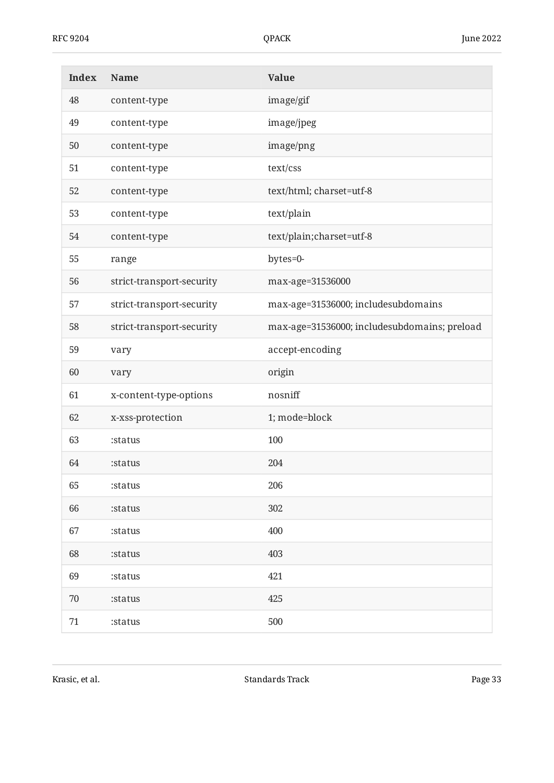| <b>Index</b> | Name                      | <b>Value</b>                                 |
|--------------|---------------------------|----------------------------------------------|
| 48           | content-type              | image/gif                                    |
| 49           | content-type              | image/jpeg                                   |
| 50           | content-type              | image/png                                    |
| 51           | content-type              | text/css                                     |
| 52           | content-type              | text/html; charset=utf-8                     |
| 53           | content-type              | text/plain                                   |
| 54           | content-type              | text/plain;charset=utf-8                     |
| 55           | range                     | bytes=0-                                     |
| 56           | strict-transport-security | max-age=31536000                             |
| 57           | strict-transport-security | max-age=31536000; includesubdomains          |
| 58           | strict-transport-security | max-age=31536000; includesubdomains; preload |
| 59           | vary                      | accept-encoding                              |
| 60           | vary                      | origin                                       |
| 61           | x-content-type-options    | nosniff                                      |
| 62           | x-xss-protection          | 1; mode=block                                |
| 63           | :status                   | 100                                          |
| 64           | :status                   | 204                                          |
| 65           | :status                   | 206                                          |
| 66           | :status                   | 302                                          |
| 67           | :status                   | 400                                          |
| 68           | :status                   | 403                                          |
| 69           | :status                   | 421                                          |
| 70           | :status                   | 425                                          |
| 71           | :status                   | 500                                          |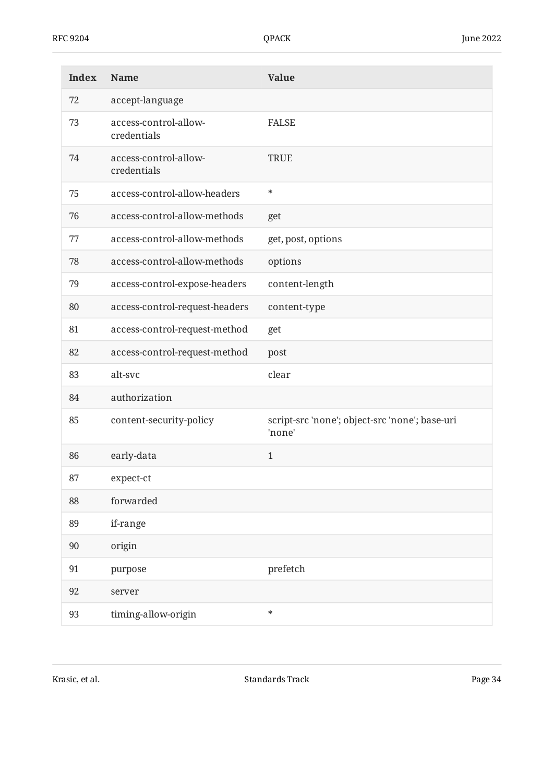| <b>Index</b> | Name                                 | <b>Value</b>                                             |
|--------------|--------------------------------------|----------------------------------------------------------|
| 72           | accept-language                      |                                                          |
| 73           | access-control-allow-<br>credentials | <b>FALSE</b>                                             |
| 74           | access-control-allow-<br>credentials | <b>TRUE</b>                                              |
| 75           | access-control-allow-headers         | $\ast$                                                   |
| 76           | access-control-allow-methods         | get                                                      |
| 77           | access-control-allow-methods         | get, post, options                                       |
| 78           | access-control-allow-methods         | options                                                  |
| 79           | access-control-expose-headers        | content-length                                           |
| 80           | access-control-request-headers       | content-type                                             |
| 81           | access-control-request-method        | get                                                      |
| 82           | access-control-request-method        | post                                                     |
| 83           | alt-svc                              | clear                                                    |
| 84           | authorization                        |                                                          |
| 85           | content-security-policy              | script-src 'none'; object-src 'none'; base-uri<br>'none' |
| 86           | early-data                           | $\mathbf{1}$                                             |
| 87           | expect-ct                            |                                                          |
| 88           | forwarded                            |                                                          |
| 89           | if-range                             |                                                          |
| 90           | origin                               |                                                          |
| 91           | purpose                              | prefetch                                                 |
| 92           | server                               |                                                          |
| 93           | timing-allow-origin                  | $\ast$                                                   |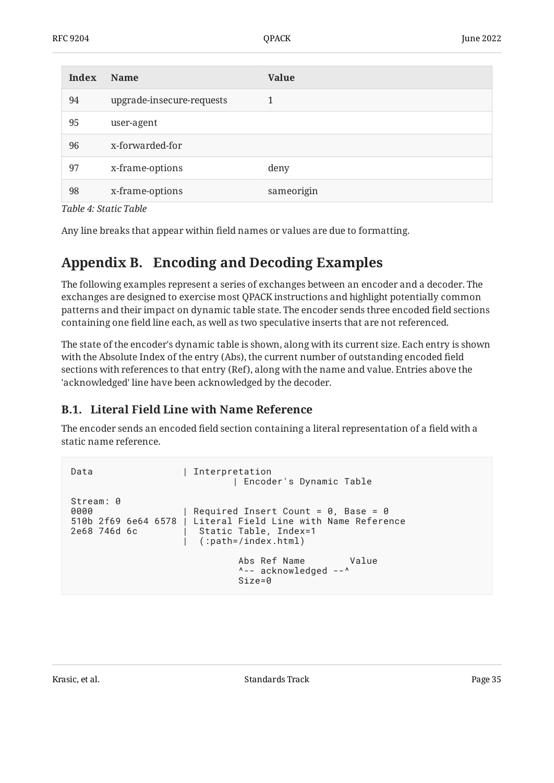| Index | <b>Name</b>               | <b>Value</b> |
|-------|---------------------------|--------------|
| 94    | upgrade-insecure-requests | 1            |
| 95    | user-agent                |              |
| 96    | x-forwarded-for           |              |
| 97    | x-frame-options           | deny         |
| 98    | x-frame-options           | sameorigin   |

*[Table 4:](#page-30-0) [Static Table](#page-29-14)* 

<span id="page-34-0"></span>Any line breaks that appear within field names or values are due to formatting.

## **[Appendix B. Encoding and Decoding Examples](#page-34-0)**

The following examples represent a series of exchanges between an encoder and a decoder. The exchanges are designed to exercise most QPACK instructions and highlight potentially common patterns and their impact on dynamic table state. The encoder sends three encoded field sections containing one field line each, as well as two speculative inserts that are not referenced.

The state of the encoder's dynamic table is shown, along with its current size. Each entry is shown with the Absolute Index of the entry (Abs), the current number of outstanding encoded field sections with references to that entry (Ref), along with the name and value. Entries above the 'acknowledged' line have been acknowledged by the decoder.

## <span id="page-34-1"></span>**[B.1. Literal Field Line with Name Reference](#page-34-1)**

The encoder sends an encoded field section containing a literal representation of a field with a static name reference.

```
Data | Interpretation
                           | Encoder's Dynamic Table
Stream: 0
0000 | Required Insert Count = 0, Base = 0
510b 2f69 6e64 6578 | Literal Field Line with Name Reference
                     Static Table, Index=1
                      | (:path=/index.html)
                            Abs Ref Name Value
                            ^-- acknowledged --^
                            Size=0
```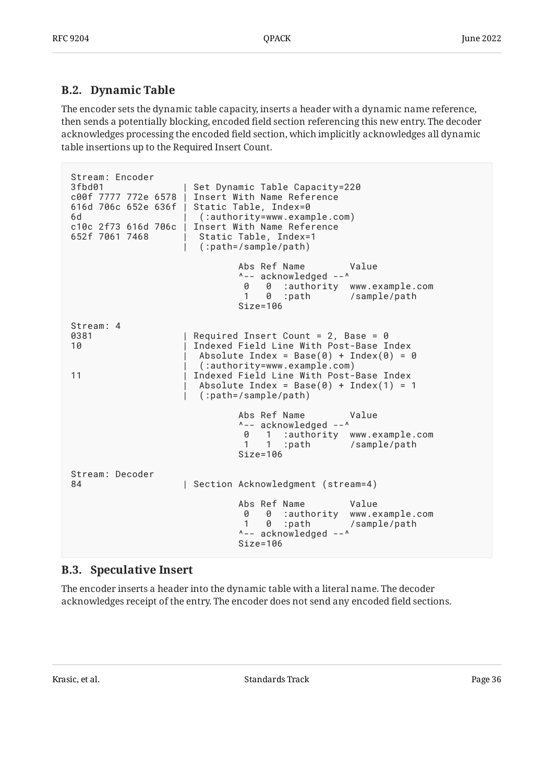### <span id="page-35-0"></span>**[B.2. Dynamic Table](#page-35-0)**

The encoder sets the dynamic table capacity, inserts a header with a dynamic name reference, then sends a potentially blocking, encoded field section referencing this new entry. The decoder acknowledges processing the encoded field section, which implicitly acknowledges all dynamic table insertions up to the Required Insert Count.

```
Stream: Encoder
3fbd01 | Set Dynamic Table Capacity=220
                   Insert With Name Reference
616d 706c 652e 636f | Static Table, Index=0
6d | (:authority=www.example.com)
                   Insert With Name Reference
652f 7061 7468 | Static Table, Index=1
                     | (:path=/sample/path)
                           Abs Ref Name Value
                           ^-- acknowledged --^
                            0 0 :authority www.example.com
                            1 0 :path /sample/path
                           Size=106
Stream: 4
0381 | Required Insert Count = 2, Base = 0
10 | Indexed Field Line With Post-Base Index
                   Absolute Index = Base(0) + Index(0) = 0
                     | (:authority=www.example.com)
11 Indexed Field Line With Post-Base Index
                    Absolute Index = Base(0) + Index(1) = 1 | (:path=/sample/path)
                           Abs Ref Name Value
                           ^-- acknowledged --^
                            0 1 :authority www.example.com
                            1 1 :path /sample/path
                           Size=106
Stream: Decoder
84 | Section Acknowledgment (stream=4)
                           Abs Ref Name Value
                            0 0 :authority www.example.com
                            1 0 :path /sample/path
                           ^-- acknowledged --^
                           Size=106
```
### <span id="page-35-1"></span>**[B.3. Speculative Insert](#page-35-1)**

The encoder inserts a header into the dynamic table with a literal name. The decoder acknowledges receipt of the entry. The encoder does not send any encoded field sections.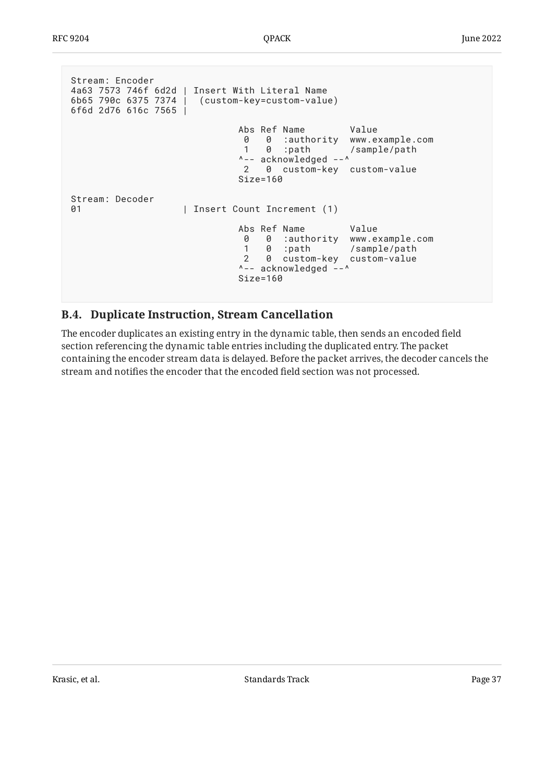```
Stream: Encoder
4a63 7573 746f 6d2d | Insert With Literal Name
6b65 790c 6375 7374 | (custom-key=custom-value)
6f6d 2d76 616c 7565 |
                        Abs Ref Name Value
                       0 0 :authority www.example.com<br>1 0 :path /sample/path
 1 0 :path /sample/path
 ^-- acknowledged --^
                        2 0 custom-key custom-value
                        Size=160
Stream: Decoder
01 | Insert Count Increment (1)
                        Abs Ref Name Value
 0 0 :authority www.example.com
 1 0 :path /sample/path
                        2 0 custom-key custom-value
                        ^-- acknowledged --^
                        Size=160
```
### <span id="page-36-0"></span>**[B.4. Duplicate Instruction, Stream Cancellation](#page-36-0)**

The encoder duplicates an existing entry in the dynamic table, then sends an encoded field section referencing the dynamic table entries including the duplicated entry. The packet containing the encoder stream data is delayed. Before the packet arrives, the decoder cancels the stream and notifies the encoder that the encoded field section was not processed.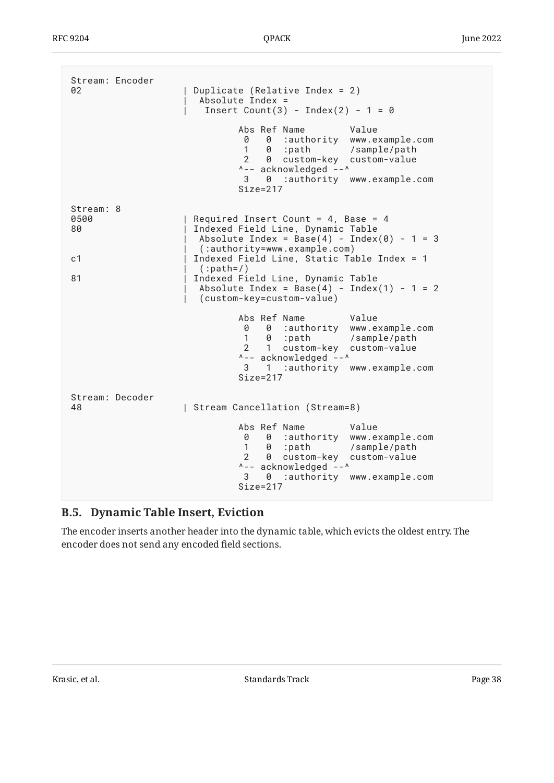| Stream: Encoder<br>02 | Duplicate (Relative Index = $2$ )<br>Absolute Index =<br>Insert Count(3) - Index(2) - $1 = 0$                                                                                                                         |
|-----------------------|-----------------------------------------------------------------------------------------------------------------------------------------------------------------------------------------------------------------------|
|                       | Abs Ref Name<br>Value<br>0 0 :authority www.example.com<br>1 0 :path /sample/path<br>$2 \theta$<br>custom-key custom-value<br>^-- acknowledged --^<br>3 0 :authority www.example.com<br>$Size = 217$                  |
| Stream: 8             |                                                                                                                                                                                                                       |
| 0500<br>80            | Required Insert Count = $4$ , Base = $4$<br>Indexed Field Line, Dynamic Table<br>Absolute Index = Base(4) - Index(0) - 1 = 3<br>(:authority=www.example.com)                                                          |
| c <sub>1</sub>        | Indexed Field Line, Static Table Index = 1                                                                                                                                                                            |
| 81                    | $(:path=/)$<br>Indexed Field Line, Dynamic Table<br>Absolute Index = Base(4) - Index(1) - 1 = 2<br>(custom-key=custom-value)                                                                                          |
|                       | Abs Ref Name<br>Value<br>0 0 :authority www.example.com<br>1 0 :path /sample/path<br>custom-key custom-value<br>$2 \quad 1$<br>^-- acknowledged --^<br>3 1 :authority www.example.com<br>$Size = 217$                 |
| Stream: Decoder<br>48 | Stream Cancellation (Stream=8)                                                                                                                                                                                        |
|                       | Abs Ref Name<br>Value<br>0 0 :authority www.example.com<br>1 0 :path /sample/path<br>$\overline{2}$<br>custom-key custom-value<br>- 0<br>^-- acknowledged --^<br>3<br>:authority www.example.com<br>0<br>$Size = 217$ |

## <span id="page-37-0"></span>**[B.5. Dynamic Table Insert, Eviction](#page-37-0)**

The encoder inserts another header into the dynamic table, which evicts the oldest entry. The encoder does not send any encoded field sections.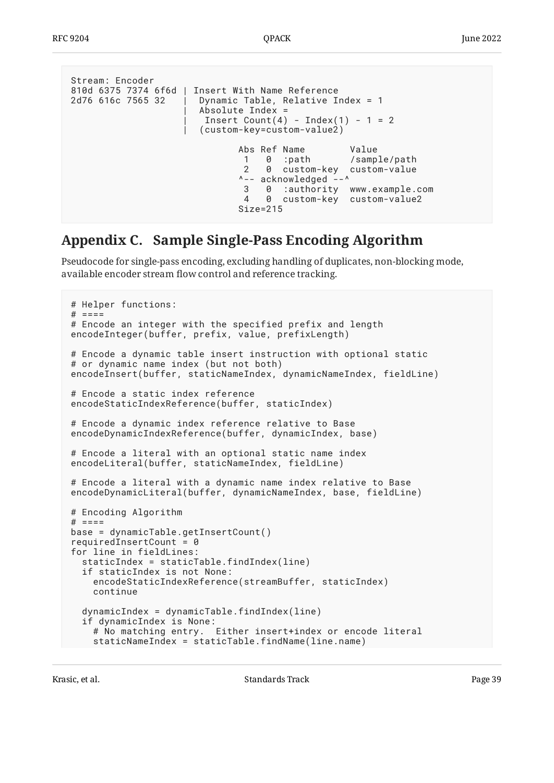```
Stream: Encoder
810d 6375 7374 6f6d | Insert With Name Reference
2d76 616c 7565 32 | Dynamic Table, Relative Index = 1
                      Absolute Index =
                       Insert Count(4) - Index(1) - 1 = 2
                       | (custom-key=custom-value2)
                              Abs Ref Name Value
                              1 0 :path /sample/path
                              2 0 custom-key custom-value
                              ^-- acknowledged --^
                              3 0 :authority www.example.com
                              4 0 custom-key custom-value2
                              Size=215
```
## <span id="page-38-0"></span>**[Appendix C. Sample Single-Pass Encoding Algorithm](#page-38-0)**

Pseudocode for single-pass encoding, excluding handling of duplicates, non-blocking mode, available encoder stream flow control and reference tracking.

```
# Helper functions:
# ====
# Encode an integer with the specified prefix and length
encodeInteger(buffer, prefix, value, prefixLength)
# Encode a dynamic table insert instruction with optional static
# or dynamic name index (but not both)
encodeInsert(buffer, staticNameIndex, dynamicNameIndex, fieldLine)
# Encode a static index reference
encodeStaticIndexReference(buffer, staticIndex)
# Encode a dynamic index reference relative to Base
encodeDynamicIndexReference(buffer, dynamicIndex, base)
# Encode a literal with an optional static name index
encodeLiteral(buffer, staticNameIndex, fieldLine)
# Encode a literal with a dynamic name index relative to Base
encodeDynamicLiteral(buffer, dynamicNameIndex, base, fieldLine)
# Encoding Algorithm
# ====
base = dynamicTable.getInsertCount()
requiredInsertCount = <math>\theta</math>for line in fieldLines:
   staticIndex = staticTable.findIndex(line)
   if staticIndex is not None:
     encodeStaticIndexReference(streamBuffer, staticIndex)
     continue
   dynamicIndex = dynamicTable.findIndex(line)
   if dynamicIndex is None:
     # No matching entry. Either insert+index or encode literal
     staticNameIndex = staticTable.findName(line.name)
```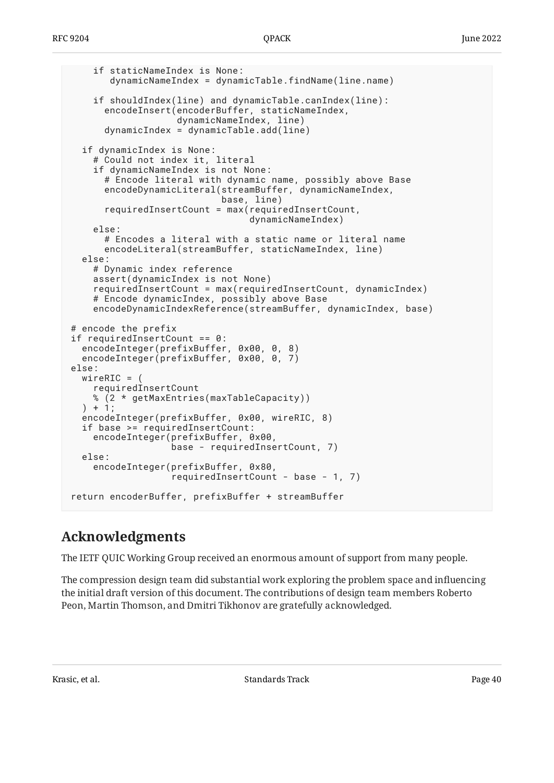```
 if staticNameIndex is None:
        dynamicNameIndex = dynamicTable.findName(line.name)
     if shouldIndex(line) and dynamicTable.canIndex(line):
       encodeInsert(encoderBuffer, staticNameIndex,
                     dynamicNameIndex, line)
       dynamicIndex = dynamicTable.add(line)
   if dynamicIndex is None:
     # Could not index it, literal
     if dynamicNameIndex is not None:
       # Encode literal with dynamic name, possibly above Base
       encodeDynamicLiteral(streamBuffer, dynamicNameIndex,
                             base, line)
       requiredInsertCount = max(requiredInsertCount,
                                  dynamicNameIndex)
     else:
       # Encodes a literal with a static name or literal name
       encodeLiteral(streamBuffer, staticNameIndex, line)
   else:
     # Dynamic index reference
     assert(dynamicIndex is not None)
     requiredInsertCount = max(requiredInsertCount, dynamicIndex)
     # Encode dynamicIndex, possibly above Base
     encodeDynamicIndexReference(streamBuffer, dynamicIndex, base)
# encode the prefix
if requiredInsertCount == 0:
   encodeInteger(prefixBuffer, 0x00, 0, 8)
   encodeInteger(prefixBuffer, 0x00, 0, 7)
else:
   wireRIC = (
     requiredInsertCount
     % (2 * getMaxEntries(maxTableCapacity))
   ) + 1;
   encodeInteger(prefixBuffer, 0x00, wireRIC, 8)
   if base >= requiredInsertCount:
     encodeInteger(prefixBuffer, 0x00,
                    base - requiredInsertCount, 7)
   else:
     encodeInteger(prefixBuffer, 0x80,
                    requiredInsertCount - base - 1, 7)
return encoderBuffer, prefixBuffer + streamBuffer
```
## <span id="page-39-0"></span>**[Acknowledgments](#page-39-0)**

The IETF QUIC Working Group received an enormous amount of support from many people.

The compression design team did substantial work exploring the problem space and influencing the initial draft version of this document. The contributions of design team members Roberto Peon, Martin Thomson, and Dmitri Tikhonov are gratefully acknowledged.